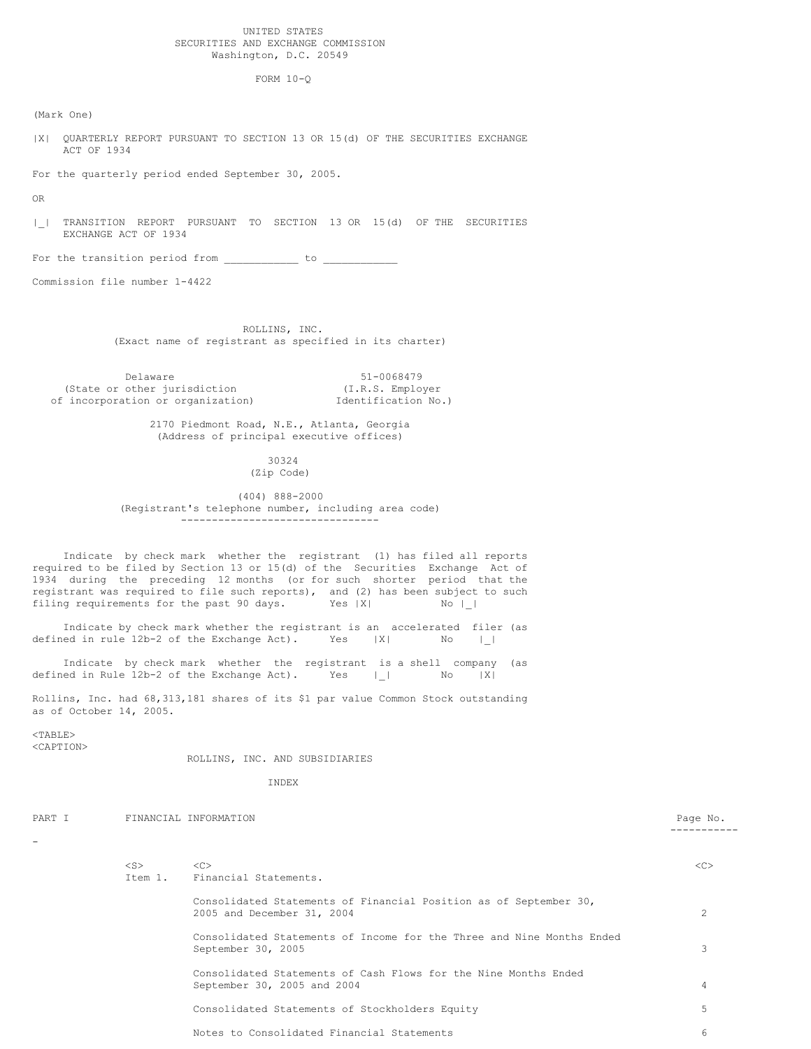## UNITED STATES SECURITIES AND EXCHANGE COMMISSION Washington, D.C. 20549

FORM 10-Q

(Mark One)

- |X| QUARTERLY REPORT PURSUANT TO SECTION 13 OR 15(d) OF THE SECURITIES EXCHANGE ACT OF 1934
- For the quarterly period ended September 30, 2005.

OR

|\_| TRANSITION REPORT PURSUANT TO SECTION 13 OR 15(d) OF THE SECURITIES EXCHANGE ACT OF 1934

For the transition period from \_\_\_\_\_\_\_\_\_\_\_\_ to \_\_\_\_\_

Commission file number 1-4422

ROLLINS, INC. (Exact name of registrant as specified in its charter)

Delaware 51-0068479<br>
other jurisdiction (I.R.S. Employer (State or other jurisdiction of incorporation or organization) Identification No.)

> 2170 Piedmont Road, N.E., Atlanta, Georgia (Address of principal executive offices)

> > 30324 (Zip Code)

### (404) 888-2000 (Registrant's telephone number, including area code) --------------------------------

Indicate by check mark whether the registrant (1) has filed all reports required to be filed by Section 13 or 15(d) of the Securities Exchange Act of 1934 during the preceding 12 months (or for such shorter period that the registrant was required to file such reports), and (2) has been subject to such filing requirements for the past 90 days. Yes |X| No | |

Indicate by check mark whether the registrant is an accelerated filer (as defined in rule  $12b-2$  of the Exchange Act). Yes  $|X|$  No ||

Indicate by check mark whether the registrant is a shell company (as ned in Rule 12b-2 of the Exchange Act). Yes  $|| \cdot ||$  No  $||X||$ defined in Rule 12b-2 of the Exchange Act). Yes || No |X|

Rollins, Inc. had 68,313,181 shares of its \$1 par value Common Stock outstanding as of October 14, 2005.

<TABLE> <CAPTION>

# ROLLINS, INC. AND SUBSIDIARIES

INDEX

| PART I                   |                      | FINANCIAL INFORMATION                                                                           | Page No.                    |
|--------------------------|----------------------|-------------------------------------------------------------------------------------------------|-----------------------------|
| $\overline{\phantom{0}}$ |                      |                                                                                                 |                             |
|                          | $<$ S $>$<br>Item 1. | <<<br>Financial Statements.                                                                     | <<                          |
|                          |                      | Consolidated Statements of Financial Position as of September 30,<br>2005 and December 31, 2004 | $\mathcal{D}_{\mathcal{A}}$ |
|                          |                      | Consolidated Statements of Income for the Three and Nine Months Ended<br>September 30, 2005     | 3                           |
|                          |                      | Consolidated Statements of Cash Flows for the Nine Months Ended<br>September 30, 2005 and 2004  | 4                           |
|                          |                      | Consolidated Statements of Stockholders Equity                                                  | 5                           |
|                          |                      | Notes to Consolidated Financial Statements                                                      | 6                           |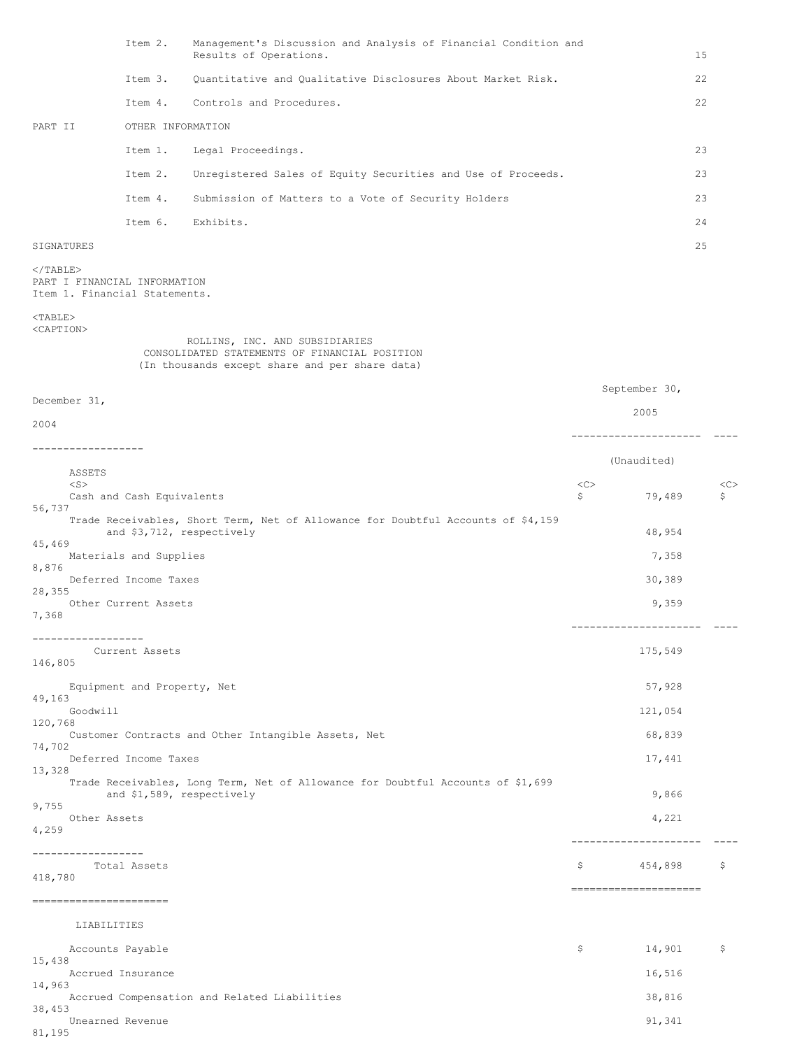|            | Item 2.           | Management's Discussion and Analysis of Financial Condition and<br>Results of Operations. | 15  |
|------------|-------------------|-------------------------------------------------------------------------------------------|-----|
|            | Item 3.           | Quantitative and Qualitative Disclosures About Market Risk.                               | 22  |
|            | Item 4.           | Controls and Procedures.                                                                  | 22  |
| PART II    | OTHER INFORMATION |                                                                                           |     |
|            | Item 1.           | Legal Proceedings.                                                                        | 23  |
|            | Item 2.           | Unreqistered Sales of Equity Securities and Use of Proceeds.                              | 23  |
|            | Item 4.           | Submission of Matters to a Vote of Security Holders                                       | 23  |
|            | Item 6.           | Exhibits.                                                                                 | 24  |
| SIGNATURES |                   |                                                                                           | 2.5 |

 $<$ /TABLE> PART I FINANCIAL INFORMATION Item 1. Financial Statements.

 $<$ TABLE $>$ <CAPTION>

ROLLINS, INC. AND SUBSIDIARIES CONSOLIDATED STATEMENTS OF FINANCIAL POSITION (In thousands except share and per share data)

| December 31,<br>2004                                                                                                    |          | September 30,<br>2005              |                    |  |
|-------------------------------------------------------------------------------------------------------------------------|----------|------------------------------------|--------------------|--|
| ----------------                                                                                                        |          | -------------------<br>(Unaudited) |                    |  |
| ASSETS<br>$<$ S $>$<br>Cash and Cash Equivalents<br>56,737                                                              | <<<br>\$ | 79,489                             | <<<br>$\mathsf{S}$ |  |
| Trade Receivables, Short Term, Net of Allowance for Doubtful Accounts of \$4,159<br>and \$3,712, respectively<br>45,469 |          | 48,954                             |                    |  |
| Materials and Supplies<br>8,876                                                                                         |          | 7,358                              |                    |  |
| Deferred Income Taxes<br>28,355                                                                                         |          | 30,389                             |                    |  |
| Other Current Assets<br>7,368                                                                                           |          | 9,359<br>----------------------    |                    |  |
| -------------------<br>Current Assets<br>146,805                                                                        |          | 175,549                            |                    |  |
| Equipment and Property, Net                                                                                             |          | 57,928                             |                    |  |
| 49,163<br>Goodwill<br>120,768                                                                                           |          | 121,054                            |                    |  |
| Customer Contracts and Other Intangible Assets, Net<br>74,702                                                           |          | 68,839                             |                    |  |
| Deferred Income Taxes<br>13,328                                                                                         |          | 17,441                             |                    |  |
| Trade Receivables, Long Term, Net of Allowance for Doubtful Accounts of \$1,699<br>and \$1,589, respectively            |          | 9,866                              |                    |  |
| 9,755<br>Other Assets<br>4,259                                                                                          |          | 4,221<br>---------------------     | $- - - -$          |  |
| ------------------<br>Total Assets<br>418,780                                                                           | \$       | 454,898<br>----------------------- | \$                 |  |
| -----------------------                                                                                                 |          |                                    |                    |  |
| LIABILITIES                                                                                                             |          |                                    |                    |  |
| Accounts Payable<br>15,438                                                                                              | \$       | 14,901                             | \$                 |  |
| Accrued Insurance<br>14,963                                                                                             |          | 16,516                             |                    |  |
| Accrued Compensation and Related Liabilities<br>38,453                                                                  |          | 38,816                             |                    |  |
| Unearned Revenue                                                                                                        |          | 91,341                             |                    |  |

81,195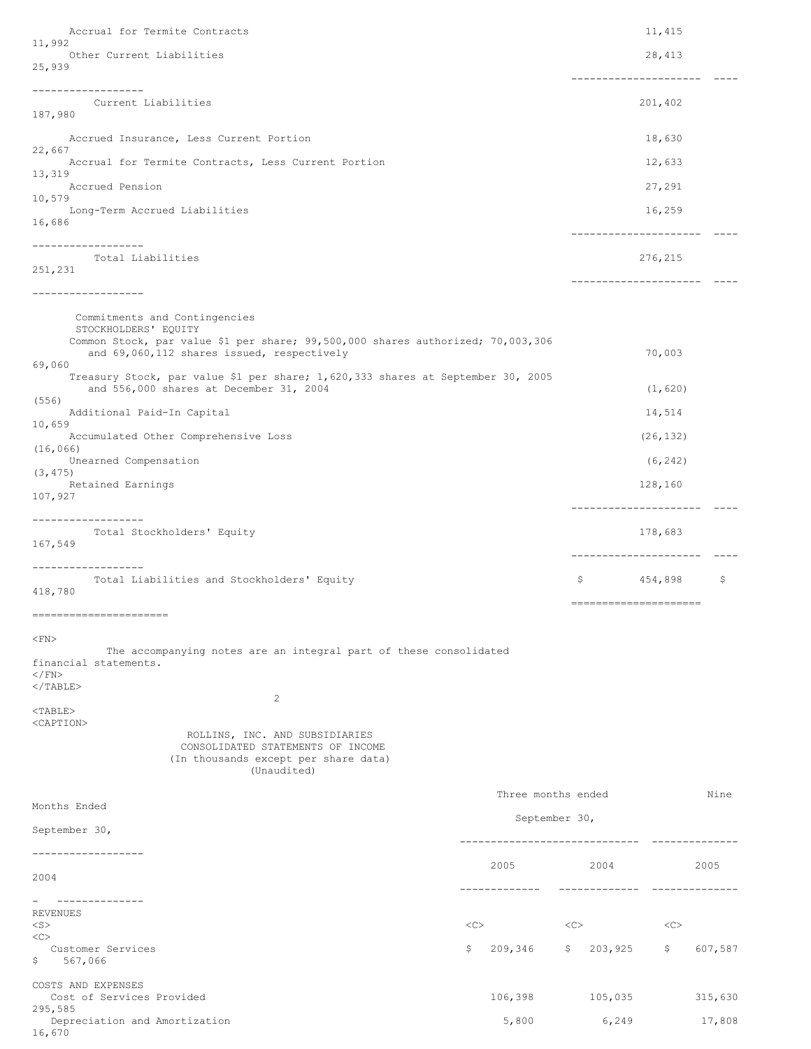Accrual for Termite Contracts 11,415 11,992 Other Current Liabilities 28,413 25,939 --------------------- ---- ------------------ Current Liabilities 201,402 187,980 Accrued Insurance, Less Current Portion 18,630 and 18,630 and 18,630 and 18,630 and 18,630 and 18,630 and 18,630 and 18,630 and 18,630 and 18,630 and 18,630 and 18,630 and 18,630 and 18,630 and 18,630 and 18,630 and 18,630 22,667 Accrual for Termite Contracts, Less Current Portion 12,633 13,319 Accrued Pension 27,291 10,579 Long-Term Accrued Liabilities 16,259 16,686 --------------------- ---- ------------------ Total Liabilities 276,215 251,231 --------------------- ---- ------------------ Commitments and Contingencies STOCKHOLDERS' EQUITY Common Stock, par value \$1 per share; 99,500,000 shares authorized; 70,003,306 and 69,060,112 shares issued, respectively 70,003 69,060 Treasury Stock, par value \$1 per share; 1,620,333 shares at September 30, 2005 and 556,000 shares at December 31, 2004 (1,620) (556) Additional Paid-In Capital 14,514 10,659 Accumulated Other Comprehensive Loss (26,132) (16,066) Unearned Compensation (6,242) (3,475) Retained Earnings 128,160 107,927 --------------------- ---- ------------------ Total Stockholders' Equity 178,683 167,549 --------------------- ---- ------------------ Total Liabilities and Stockholders' Equity **\$** 454,898 \$ 418,780 ===================== ======================  $<$ FN $>$ The accompanying notes are an integral part of these consolidated financial statements.  $<$ / $FN$ >  $<$ /TABLE>  $\mathfrak{D}$  $<$ TABLE $>$ <CAPTION> ROLLINS, INC. AND SUBSIDIARIES CONSOLIDATED STATEMENTS OF INCOME (In thousands except per share data) (Unaudited) Three months ended Nine Months Ended September 30, September 30, ----------------------------- -------------- ------------------ 2005 2004 2005 2004 ------------- ------------- -------------- - -------------- REVENUES <S> <C> <C> <C>  $<$ Customer Services \$ 209,346 \$ 203,925 \$ 607,587 \$ 567,066 COSTS AND EXPENSES Cost of Services Provided 2006 106,398 105,035 315,630 295,585 Depreciation and Amortization 6,249 17,808 16,670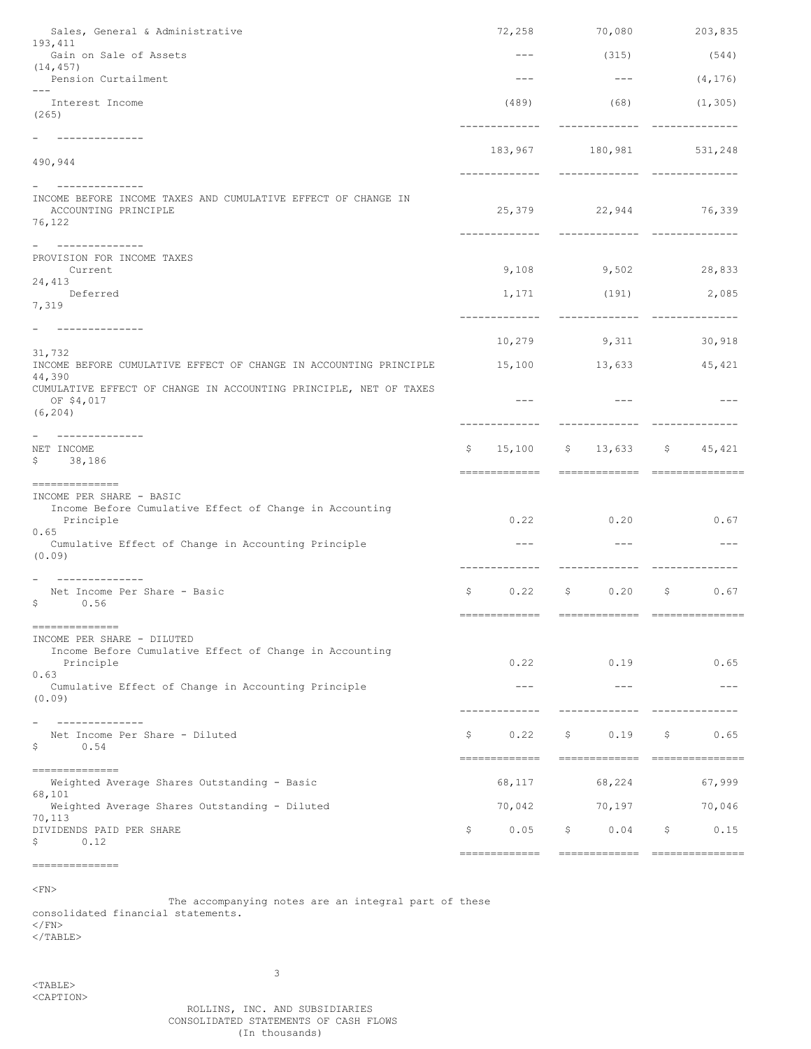| Sales, General & Administrative                                                                                                                                            |     | 72,258                                  |                     | 70,080                                                            |              | 203,835                 |
|----------------------------------------------------------------------------------------------------------------------------------------------------------------------------|-----|-----------------------------------------|---------------------|-------------------------------------------------------------------|--------------|-------------------------|
| 193, 411<br>Gain on Sale of Assets                                                                                                                                         |     | $\frac{1}{2}$                           |                     | (315)                                                             |              | (544)                   |
| (14, 457)<br>Pension Curtailment                                                                                                                                           |     | $- - -$                                 |                     | $- - - -$                                                         |              | (4, 176)                |
| $- - -$<br>Interest Income<br>(265)                                                                                                                                        |     | (489)<br>-------------                  |                     | (68)<br>-------------- --------------                             |              | (1, 305)                |
| --------------<br>490,944                                                                                                                                                  |     | 183,967                                 |                     | 180,981                                                           |              | 531,248                 |
| --------------<br>INCOME BEFORE INCOME TAXES AND CUMULATIVE EFFECT OF CHANGE IN<br>ACCOUNTING PRINCIPLE<br>76,122                                                          |     | -------------<br>25,379<br>. <u>.</u> . |                     | 22,944<br>--------------                                          |              | 76,339<br>------------- |
| --------------<br>PROVISION FOR INCOME TAXES<br>Current                                                                                                                    |     | 9,108                                   |                     | 9,502                                                             |              | 28,833                  |
| 24,413<br>Deferred<br>7,319                                                                                                                                                |     | 1,171                                   |                     | (191)                                                             |              | 2,085                   |
| --------------                                                                                                                                                             |     | -------------                           |                     | -------------------------------                                   |              |                         |
| 31,732                                                                                                                                                                     |     | 10,279                                  |                     | 9,311                                                             |              | 30,918                  |
| INCOME BEFORE CUMULATIVE EFFECT OF CHANGE IN ACCOUNTING PRINCIPLE<br>44,390<br>CUMULATIVE EFFECT OF CHANGE IN ACCOUNTING PRINCIPLE, NET OF TAXES<br>OF \$4,017<br>(6, 204) |     | 15,100<br>$\qquad \qquad - -$           |                     | 13,633<br>$\qquad \qquad - -$                                     |              | 45,421<br>$- - -$       |
| --------------<br>NET INCOME<br>\$<br>38,186                                                                                                                               | \$. | ------------                            |                     | -------------<br>15,100 $\frac{1}{2}$ 13,633 $\frac{1}{2}$ 45,421 |              |                         |
| ==============<br>INCOME PER SHARE - BASIC<br>Income Before Cumulative Effect of Change in Accounting<br>Principle<br>0.65                                                 |     | 0.22                                    |                     | 0.20                                                              |              | 0.67                    |
| Cumulative Effect of Change in Accounting Principle<br>(0.09)                                                                                                              |     | $---$                                   |                     | $---$                                                             |              | $---$                   |
| -----------<br>Net Income Per Share - Basic<br>\$<br>0.56                                                                                                                  | \$  | ------------<br>0.22                    | \$                  | -------------<br>0.20<br>eeeeeeeeeee eeeeeeeeeee                  | Ş.           | 0.67                    |
| ---------------<br>INCOME PER SHARE - DILUTED<br>Income Before Cumulative Effect of Change in Accounting<br>Principle                                                      |     | 0.22                                    |                     | 0.19                                                              |              | 0.65                    |
| 0.63<br>Cumulative Effect of Change in Accounting Principle<br>(0.09)                                                                                                      |     | $---$                                   |                     | $---$                                                             |              | $- - - -$               |
| --------------<br>$\overline{\phantom{0}}$<br>Net Income Per Share - Diluted<br>\$<br>0.54                                                                                 | \$  | ---------<br>0.22<br>-------------      | $\ddot{\mathsf{s}}$ | -------------<br>0.19<br>==============================           |              | \$0.65                  |
| ---------------<br>Weighted Average Shares Outstanding - Basic                                                                                                             |     | 68,117                                  |                     | 68,224                                                            |              | 67,999                  |
| 68,101<br>Weighted Average Shares Outstanding - Diluted                                                                                                                    |     | 70,042                                  |                     | 70,197                                                            |              | 70,046                  |
| 70,113<br>DIVIDENDS PAID PER SHARE<br>\$<br>0.12                                                                                                                           | \$  | 0.05                                    | $\mathfrak{S}$      | 0.04                                                              | $\mathsf{S}$ | 0.15                    |
| ---------------                                                                                                                                                            |     |                                         |                     |                                                                   |              |                         |

 ${ <\hspace{-1.5pt}{\rm FN} >}$ 

The accompanying notes are an integral part of these consolidated financial statements. </FN>  $<$ /TABLE>

 $<$ TABLE> <CAPTION> 3

ROLLINS, INC. AND SUBSIDIARIES CONSOLIDATED STATEMENTS OF CASH FLOWS (In thousands)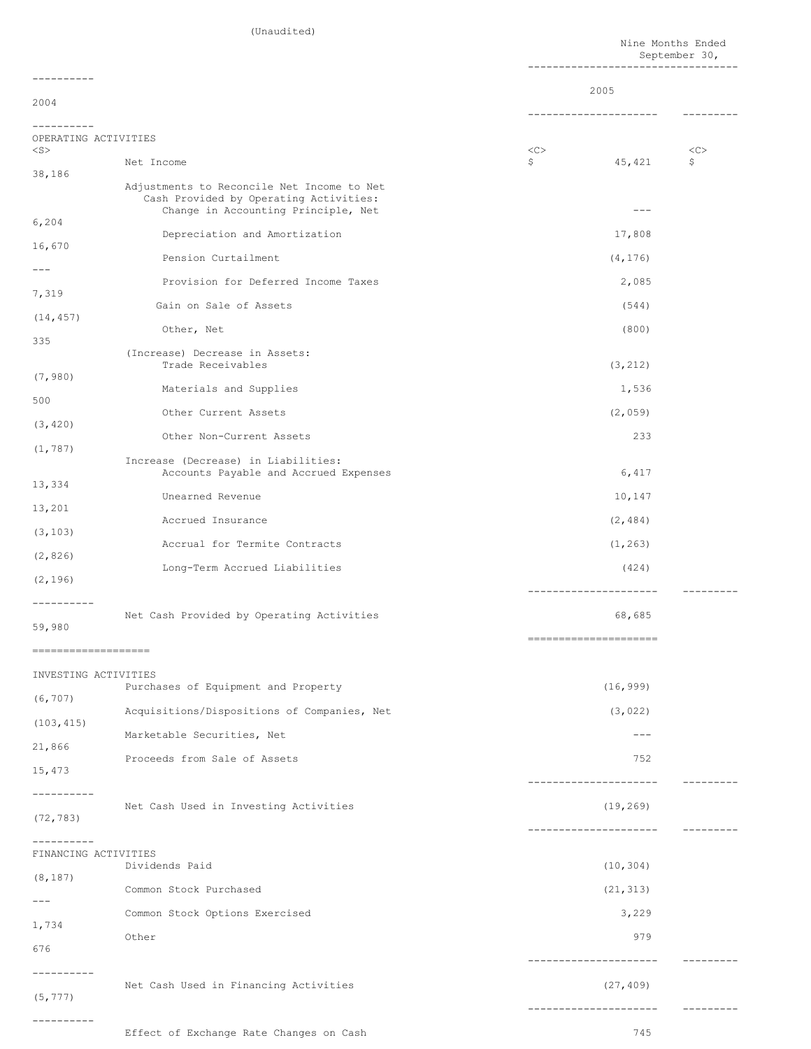| Nine Months Ended |  |
|-------------------|--|
| September 30,     |  |

|                                   |                                                                                                                             | -----------------------------------                    |           |  |  |  |
|-----------------------------------|-----------------------------------------------------------------------------------------------------------------------------|--------------------------------------------------------|-----------|--|--|--|
| ----------<br>2004                |                                                                                                                             | 2005                                                   |           |  |  |  |
| . <u>.</u> .                      |                                                                                                                             | ---------------------                                  | --------- |  |  |  |
| OPERATING ACTIVITIES<br>$<$ S $>$ |                                                                                                                             | <<                                                     | <<        |  |  |  |
|                                   | Net Income                                                                                                                  | 45,421<br>\$                                           | \$        |  |  |  |
| 38,186                            | Adjustments to Reconcile Net Income to Net<br>Cash Provided by Operating Activities:<br>Change in Accounting Principle, Net |                                                        | $---$     |  |  |  |
| 6, 204                            |                                                                                                                             |                                                        |           |  |  |  |
| 16,670                            | Depreciation and Amortization                                                                                               | 17,808                                                 |           |  |  |  |
| $---$                             | Pension Curtailment                                                                                                         | (4, 176)                                               |           |  |  |  |
| 7,319                             | Provision for Deferred Income Taxes                                                                                         | 2,085                                                  |           |  |  |  |
| (14, 457)                         | Gain on Sale of Assets                                                                                                      | (544)                                                  |           |  |  |  |
| 335                               | Other, Net                                                                                                                  | (800)                                                  |           |  |  |  |
|                                   | (Increase) Decrease in Assets:<br>Trade Receivables                                                                         | (3, 212)                                               |           |  |  |  |
| (7, 980)                          | Materials and Supplies                                                                                                      | 1,536                                                  |           |  |  |  |
| 500                               | Other Current Assets                                                                                                        | (2, 059)                                               |           |  |  |  |
| (3, 420)                          | Other Non-Current Assets                                                                                                    |                                                        | 233       |  |  |  |
| (1, 787)                          | Increase (Decrease) in Liabilities:                                                                                         |                                                        |           |  |  |  |
| 13,334                            | Accounts Payable and Accrued Expenses                                                                                       | 6,417                                                  |           |  |  |  |
| 13,201                            | Unearned Revenue                                                                                                            | 10,147                                                 |           |  |  |  |
|                                   | Accrued Insurance                                                                                                           | (2, 484)                                               |           |  |  |  |
| (3, 103)                          | Accrual for Termite Contracts                                                                                               | (1, 263)                                               |           |  |  |  |
| (2, 826)                          | Long-Term Accrued Liabilities                                                                                               | (424)                                                  |           |  |  |  |
| (2, 196)                          |                                                                                                                             | ---------------------                                  | --------- |  |  |  |
| ---------<br>59,980               | Net Cash Provided by Operating Activities                                                                                   | 68,685<br>======================                       |           |  |  |  |
| --------------------              |                                                                                                                             |                                                        |           |  |  |  |
| INVESTING ACTIVITIES              | Purchases of Equipment and Property                                                                                         | (16, 999)                                              |           |  |  |  |
| (6, 707)                          | Acquisitions/Dispositions of Companies, Net                                                                                 | (3, 022)                                               |           |  |  |  |
| (103, 415)                        | Marketable Securities, Net                                                                                                  |                                                        | $---$     |  |  |  |
| 21,866<br>15,473                  | Proceeds from Sale of Assets                                                                                                |                                                        | 752       |  |  |  |
| --------<br>(72, 783)             | Net Cash Used in Investing Activities                                                                                       | ------------------<br>(19, 269)<br>------------------- | --------- |  |  |  |
| ---------<br>FINANCING ACTIVITIES | Dividends Paid                                                                                                              | (10, 304)                                              |           |  |  |  |
| (8, 187)                          |                                                                                                                             |                                                        |           |  |  |  |
| $---$                             | Common Stock Purchased                                                                                                      | (21, 313)                                              |           |  |  |  |
| 1,734                             | Common Stock Options Exercised                                                                                              | 3,229                                                  |           |  |  |  |
| 676                               | Other                                                                                                                       | ---------------                                        | 979       |  |  |  |
| (5, 777)                          | Net Cash Used in Financing Activities                                                                                       | (27, 409)<br>----------------                          |           |  |  |  |
|                                   | Effect of Exchange Rate Changes on Cash                                                                                     |                                                        | 745       |  |  |  |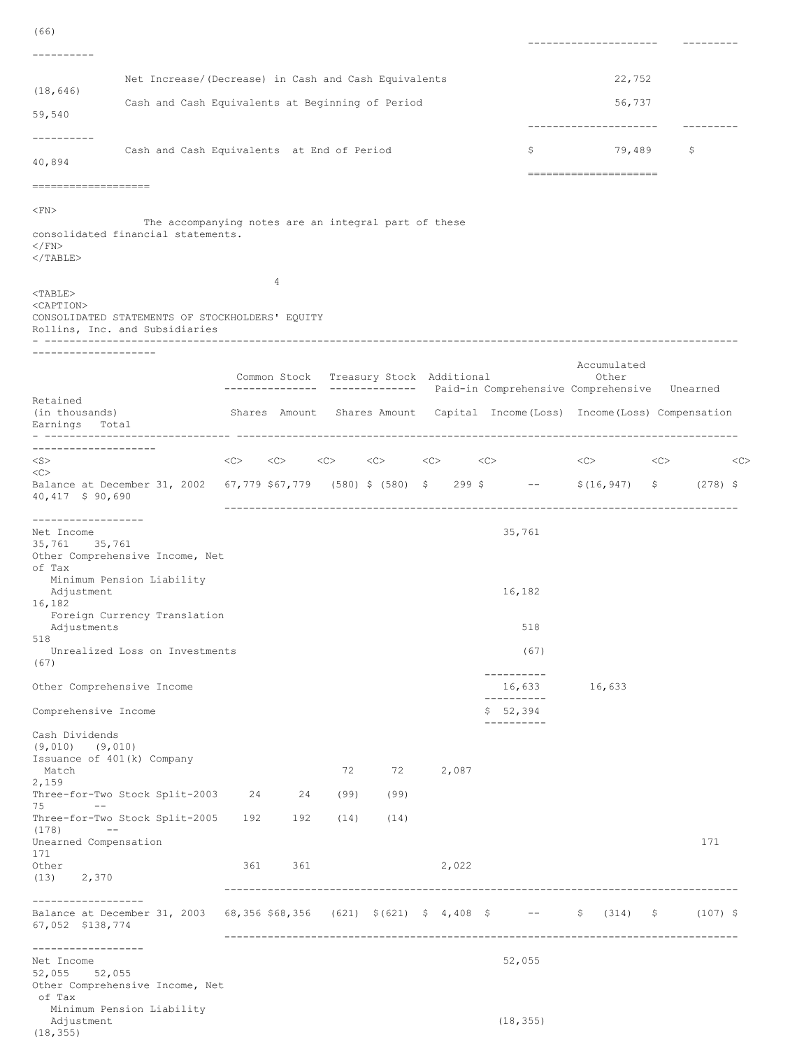|                                                                                                              |                                                      |     |     |      |                                                                                                                                                                        |       |                                                                              | ----------------------                  |             | ---------  |            |
|--------------------------------------------------------------------------------------------------------------|------------------------------------------------------|-----|-----|------|------------------------------------------------------------------------------------------------------------------------------------------------------------------------|-------|------------------------------------------------------------------------------|-----------------------------------------|-------------|------------|------------|
| ----------                                                                                                   |                                                      |     |     |      |                                                                                                                                                                        |       |                                                                              |                                         |             |            |            |
|                                                                                                              | Net Increase/(Decrease) in Cash and Cash Equivalents |     |     |      |                                                                                                                                                                        |       |                                                                              | 22,752                                  |             |            |            |
| (18, 646)                                                                                                    | Cash and Cash Equivalents at Beginning of Period     |     |     |      |                                                                                                                                                                        |       |                                                                              | 56,737                                  |             |            |            |
| 59,540                                                                                                       |                                                      |     |     |      |                                                                                                                                                                        |       |                                                                              | ---------------------                   |             | ---------  |            |
| ---------                                                                                                    |                                                      |     |     |      |                                                                                                                                                                        |       |                                                                              |                                         |             |            |            |
| 40,894                                                                                                       | Cash and Cash Equivalents at End of Period           |     |     |      |                                                                                                                                                                        |       | Ş.                                                                           | 79,489<br>=====================         |             | \$         |            |
| --------------------                                                                                         |                                                      |     |     |      |                                                                                                                                                                        |       |                                                                              |                                         |             |            |            |
| $<$ FN>                                                                                                      | The accompanying notes are an integral part of these |     |     |      |                                                                                                                                                                        |       |                                                                              |                                         |             |            |            |
| consolidated financial statements.<br>$\langle$ /FN><br>$\langle$ /TABLE>                                    |                                                      |     |     |      |                                                                                                                                                                        |       |                                                                              |                                         |             |            |            |
|                                                                                                              |                                                      |     |     |      |                                                                                                                                                                        |       |                                                                              |                                         |             |            |            |
| $<$ TABLE>                                                                                                   |                                                      |     | 4   |      |                                                                                                                                                                        |       |                                                                              |                                         |             |            |            |
| <caption><br/>CONSOLIDATED STATEMENTS OF STOCKHOLDERS' EQUITY<br/>Rollins, Inc. and Subsidiaries</caption>   |                                                      |     |     |      |                                                                                                                                                                        |       |                                                                              |                                         |             |            |            |
|                                                                                                              |                                                      |     |     |      |                                                                                                                                                                        |       |                                                                              |                                         |             |            |            |
|                                                                                                              |                                                      |     |     |      | Common Stock Treasury Stock Additional                                                                                                                                 |       |                                                                              | Accumulated<br>Other                    |             |            |            |
|                                                                                                              |                                                      |     |     |      |                                                                                                                                                                        |       | -------------- ------------- Paid-in Comprehensive Comprehensive Unearned    |                                         |             |            |            |
| Retained<br>(in thousands)<br>Earnings Total                                                                 |                                                      |     |     |      |                                                                                                                                                                        |       | Shares Amount Shares Amount Capital Income (Loss) Income (Loss) Compensation |                                         |             |            |            |
| $<$ S $>$                                                                                                    | -------------------------- -----                     |     |     |      | $\begin{array}{ccccccccc} \langle C \rangle & & \langle C \rangle & & \langle C \rangle & & \langle C \rangle & & \langle C \rangle & & \langle C \rangle \end{array}$ |       |                                                                              | $\langle C \rangle$ $\langle C \rangle$ |             |            | $<<$ C $>$ |
| <<                                                                                                           |                                                      |     |     |      |                                                                                                                                                                        |       |                                                                              |                                         |             |            |            |
| Balance at December 31, 2002 67,779 \$67,779 (580) \$ (580) \$ 299 \$ -- \$ (16,947)<br>$40,417 \div 90,690$ |                                                      |     |     |      |                                                                                                                                                                        |       |                                                                              |                                         | $S$ and $S$ | (278) \$   |            |
| ------------------                                                                                           |                                                      |     |     |      |                                                                                                                                                                        |       |                                                                              |                                         |             |            |            |
| Net Income<br>35,761 35,761                                                                                  |                                                      |     |     |      |                                                                                                                                                                        |       | 35,761                                                                       |                                         |             |            |            |
| Other Comprehensive Income, Net<br>of Tax<br>Minimum Pension Liability                                       |                                                      |     |     |      |                                                                                                                                                                        |       |                                                                              |                                         |             |            |            |
| Adjustment<br>16,182                                                                                         |                                                      |     |     |      |                                                                                                                                                                        |       | 16,182                                                                       |                                         |             |            |            |
| Adjustments                                                                                                  | Foreign Currency Translation                         |     |     |      |                                                                                                                                                                        |       | 518                                                                          |                                         |             |            |            |
| 518                                                                                                          |                                                      |     |     |      |                                                                                                                                                                        |       |                                                                              |                                         |             |            |            |
| (67)                                                                                                         | Unrealized Loss on Investments                       |     |     |      |                                                                                                                                                                        |       | (67)<br>-----------                                                          |                                         |             |            |            |
| Other Comprehensive Income                                                                                   |                                                      |     |     |      |                                                                                                                                                                        |       | 16,633<br>----------                                                         | 16,633                                  |             |            |            |
| Comprehensive Income                                                                                         |                                                      |     |     |      |                                                                                                                                                                        |       | \$52,394                                                                     |                                         |             |            |            |
| Cash Dividends                                                                                               |                                                      |     |     |      |                                                                                                                                                                        |       | ----------                                                                   |                                         |             |            |            |
| (9,010)<br>(9,010)<br>Issuance of 401(k) Company                                                             |                                                      |     |     |      |                                                                                                                                                                        |       |                                                                              |                                         |             |            |            |
| Match                                                                                                        |                                                      |     |     | 72   | 72                                                                                                                                                                     | 2,087 |                                                                              |                                         |             |            |            |
| 2,159<br>Three-for-Two Stock Split-2003                                                                      |                                                      | 24  | 24  | (99) | (99)                                                                                                                                                                   |       |                                                                              |                                         |             |            |            |
| 75<br>$ -$<br>Three-for-Two Stock Split-2005                                                                 |                                                      | 192 | 192 | (14) | (14)                                                                                                                                                                   |       |                                                                              |                                         |             |            |            |
| (178)<br>$-\,-$                                                                                              |                                                      |     |     |      |                                                                                                                                                                        |       |                                                                              |                                         |             | 171        |            |
| Unearned Compensation<br>171                                                                                 |                                                      |     |     |      |                                                                                                                                                                        |       |                                                                              |                                         |             |            |            |
| Other<br>(13)<br>2,370                                                                                       |                                                      | 361 | 361 |      |                                                                                                                                                                        | 2,022 |                                                                              |                                         |             |            |            |
| ------------------                                                                                           |                                                      |     |     |      |                                                                                                                                                                        |       |                                                                              |                                         |             |            |            |
| Balance at December 31, 2003<br>67,052 \$138,774                                                             |                                                      |     |     |      |                                                                                                                                                                        |       | $68,356$ \$68,356 (621) \$(621) \$4,408 \$- - \$(314) \$                     |                                         |             | $(107)$ \$ |            |
| ------------------<br>Net Income                                                                             |                                                      |     |     |      |                                                                                                                                                                        |       | 52,055                                                                       |                                         |             |            |            |
| 52,055<br>52,055                                                                                             |                                                      |     |     |      |                                                                                                                                                                        |       |                                                                              |                                         |             |            |            |
| Other Comprehensive Income, Net<br>of Tax                                                                    |                                                      |     |     |      |                                                                                                                                                                        |       |                                                                              |                                         |             |            |            |
| Minimum Pension Liability<br>Adjustment                                                                      |                                                      |     |     |      |                                                                                                                                                                        |       | (18, 355)                                                                    |                                         |             |            |            |
| (18, 355)                                                                                                    |                                                      |     |     |      |                                                                                                                                                                        |       |                                                                              |                                         |             |            |            |

(66)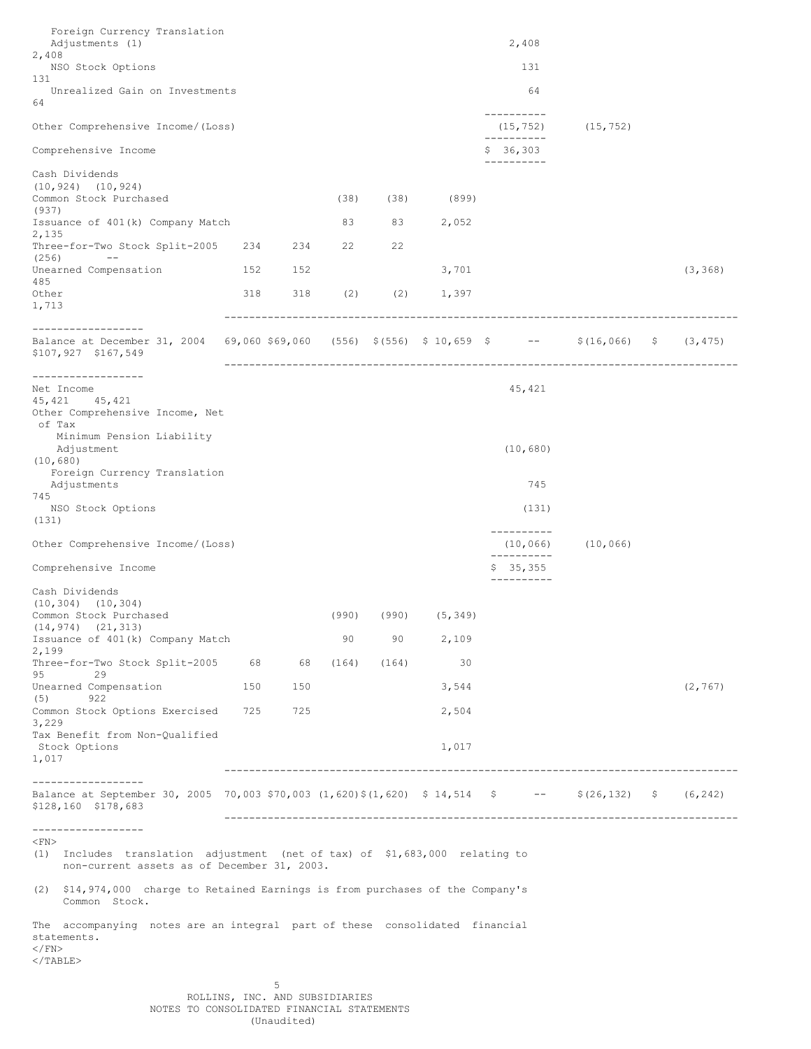| Foreign Currency Translation                                                                                                                     |     |                                |       |       |          |                         |           |          |
|--------------------------------------------------------------------------------------------------------------------------------------------------|-----|--------------------------------|-------|-------|----------|-------------------------|-----------|----------|
| Adjustments (1)<br>2,408                                                                                                                         |     |                                |       |       |          | 2,408                   |           |          |
| NSO Stock Options                                                                                                                                |     |                                |       |       |          | 131                     |           |          |
| 131                                                                                                                                              |     |                                |       |       |          |                         |           |          |
| Unrealized Gain on Investments<br>64                                                                                                             |     |                                |       |       |          | 64<br>----------        |           |          |
| Other Comprehensive Income/(Loss)                                                                                                                |     |                                |       |       |          | (15, 752)<br>---------- | (15, 752) |          |
| Comprehensive Income                                                                                                                             |     |                                |       |       |          | \$36,303<br>----------  |           |          |
| Cash Dividends                                                                                                                                   |     |                                |       |       |          |                         |           |          |
| $(10, 924)$ $(10, 924)$                                                                                                                          |     |                                |       |       |          |                         |           |          |
| Common Stock Purchased<br>(937)                                                                                                                  |     |                                | (38)  | (38)  | (899)    |                         |           |          |
| Issuance of 401(k) Company Match                                                                                                                 |     |                                | 83    | 83    | 2,052    |                         |           |          |
| 2,135                                                                                                                                            |     |                                |       |       |          |                         |           |          |
| Three-for-Two Stock Split-2005<br>(256)<br>$--$                                                                                                  | 234 | 234                            | 22    | 22    |          |                         |           |          |
| Unearned Compensation<br>485                                                                                                                     | 152 | 152                            |       |       | 3,701    |                         |           | (3, 368) |
| Other<br>1,713                                                                                                                                   | 318 | 318                            | (2)   | (2)   | 1,397    |                         |           |          |
| ------------------<br>Balance at December 31, 2004 69,060 \$69,060 (556) \$(556) \$10,659 \$ -- \$(16,066) \$ (3,475)<br>$$107, 927$ $$167, 549$ |     |                                |       |       |          |                         |           |          |
| ------------------                                                                                                                               |     |                                |       |       |          |                         |           |          |
| Net Income<br>45,421<br>45,421                                                                                                                   |     |                                |       |       |          | 45, 421                 |           |          |
| Other Comprehensive Income, Net<br>of Tax                                                                                                        |     |                                |       |       |          |                         |           |          |
| Minimum Pension Liability<br>Adjustment<br>(10, 680)                                                                                             |     |                                |       |       |          | (10, 680)               |           |          |
| Foreign Currency Translation<br>Adjustments                                                                                                      |     |                                |       |       |          | 745                     |           |          |
| 745<br>NSO Stock Options<br>(131)                                                                                                                |     |                                |       |       |          | (131)                   |           |          |
| Other Comprehensive Income/(Loss)                                                                                                                |     |                                |       |       |          | ----------<br>(10, 066) | (10, 066) |          |
| Comprehensive Income                                                                                                                             |     |                                |       |       |          | ----------<br>\$35,355  |           |          |
| Cash Dividends                                                                                                                                   |     |                                |       |       |          |                         |           |          |
| $(10, 304)$ $(10, 304)$<br>Common Stock Purchased                                                                                                |     |                                | (990) | (990) | (5, 349) |                         |           |          |
| $(14, 974)$ $(21, 313)$<br>Issuance of 401(k) Company Match                                                                                      |     |                                | 90    | 90    | 2,109    |                         |           |          |
| 2,199<br>Three-for-Two Stock Split-2005                                                                                                          | 68  | 68                             | (164) | (164) | 30       |                         |           |          |
| 95<br>29<br>Unearned Compensation                                                                                                                | 150 | 150                            |       |       | 3,544    |                         |           | (2, 767) |
| (5)<br>922<br>Common Stock Options Exercised                                                                                                     |     | 725 725                        |       |       | 2,504    |                         |           |          |
| 3,229<br>Tax Benefit from Non-Qualified<br>Stock Options                                                                                         |     |                                |       |       | 1,017    |                         |           |          |
| 1,017                                                                                                                                            |     |                                |       |       |          |                         |           |          |
| ------------------<br>Balance at September 30, 2005 70,003 \$70,003 (1,620)\$(1,620)\$ 14,514 \$ -- \$(26,132)\$ (6,242)<br>\$128,160 \$178,683  |     |                                |       |       |          |                         |           |          |
| ------------------                                                                                                                               |     |                                |       |       |          |                         |           |          |
| $<$ FN $>$<br>(1) Includes translation adjustment (net of tax) of \$1,683,000 relating to<br>non-current assets as of December 31, 2003.         |     |                                |       |       |          |                         |           |          |
| (2) \$14,974,000 charge to Retained Earnings is from purchases of the Company's<br>Common Stock.                                                 |     |                                |       |       |          |                         |           |          |
| The accompanying notes are an integral part of these consolidated financial<br>statements.<br>$\langle$ FN $>$                                   |     |                                |       |       |          |                         |           |          |
| $\langle$ /TABLE>                                                                                                                                |     |                                |       |       |          |                         |           |          |
|                                                                                                                                                  |     | 5                              |       |       |          |                         |           |          |
|                                                                                                                                                  |     | ROLLINS, INC. AND SUBSIDIARIES |       |       |          |                         |           |          |

NOTES TO CONSOLIDATED FINANCIAL STATEMENTS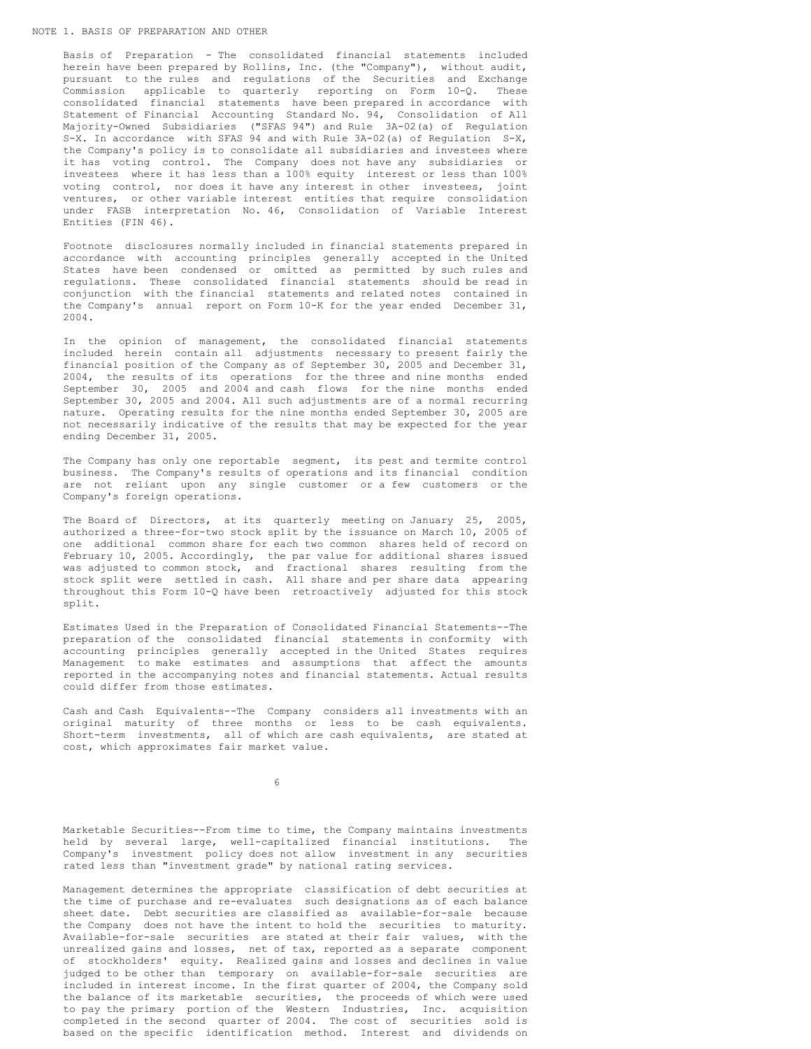Basis of Preparation - The consolidated financial statements included herein have been prepared by Rollins, Inc. (the "Company"), without audit, pursuant to the rules and regulations of the Securities and Exchange Commission applicable to quarterly reporting on Form 10-Q. These consolidated financial statements have been prepared in accordance with Statement of Financial Accounting Standard No. 94, Consolidation of All Majority-Owned Subsidiaries ("SFAS 94") and Rule 3A-02(a) of Regulation S-X. In accordance with SFAS 94 and with Rule 3A-02(a) of Regulation S-X, the Company's policy is to consolidate all subsidiaries and investees where it has voting control. The Company does not have any subsidiaries or investees where it has less than a 100% equity interest or less than 100% voting control, nor does it have any interest in other investees, joint ventures, or other variable interest entities that require consolidation under FASB interpretation No. 46, Consolidation of Variable Interest Entities (FIN 46).

Footnote disclosures normally included in financial statements prepared in accordance with accounting principles generally accepted in the United States have been condensed or omitted as permitted by such rules and regulations. These consolidated financial statements should be read in conjunction with the financial statements and related notes contained in the Company's annual report on Form 10-K for the year ended December 31, 2004.

In the opinion of management, the consolidated financial statements included herein contain all adjustments necessary to present fairly the financial position of the Company as of September 30, 2005 and December 31, 2004, the results of its operations for the three and nine months ended September 30, 2005 and 2004 and cash flows for the nine months ended September 30, 2005 and 2004. All such adjustments are of a normal recurring nature. Operating results for the nine months ended September 30, 2005 are not necessarily indicative of the results that may be expected for the year ending December 31, 2005.

The Company has only one reportable segment, its pest and termite control business. The Company's results of operations and its financial condition are not reliant upon any single customer or a few customers or the Company's foreign operations.

The Board of Directors, at its quarterly meeting on January 25, 2005, authorized a three-for-two stock split by the issuance on March 10, 2005 of one additional common share for each two common shares held of record on February 10, 2005. Accordingly, the par value for additional shares issued was adjusted to common stock, and fractional shares resulting from the stock split were settled in cash. All share and per share data appearing throughout this Form 10-Q have been retroactively adjusted for this stock split.

Estimates Used in the Preparation of Consolidated Financial Statements--The preparation of the consolidated financial statements in conformity with accounting principles generally accepted in the United States requires Management to make estimates and assumptions that affect the amounts reported in the accompanying notes and financial statements. Actual results could differ from those estimates.

Cash and Cash Equivalents--The Company considers all investments with an original maturity of three months or less to be cash equivalents. Short-term investments, all of which are cash equivalents, are stated at cost, which approximates fair market value.

6

Marketable Securities--From time to time, the Company maintains investments held by several large, well-capitalized financial institutions. The Company's investment policy does not allow investment in any securities rated less than "investment grade" by national rating services.

Management determines the appropriate classification of debt securities at the time of purchase and re-evaluates such designations as of each balance sheet date. Debt securities are classified as available-for-sale because the Company does not have the intent to hold the securities to maturity. Available-for-sale securities are stated at their fair values, with the unrealized gains and losses, net of tax, reported as a separate component of stockholders' equity. Realized gains and losses and declines in value judged to be other than temporary on available-for-sale securities are included in interest income. In the first quarter of 2004, the Company sold the balance of its marketable securities, the proceeds of which were used to pay the primary portion of the Western Industries, Inc. acquisition completed in the second quarter of 2004. The cost of securities sold is based on the specific identification method. Interest and dividends on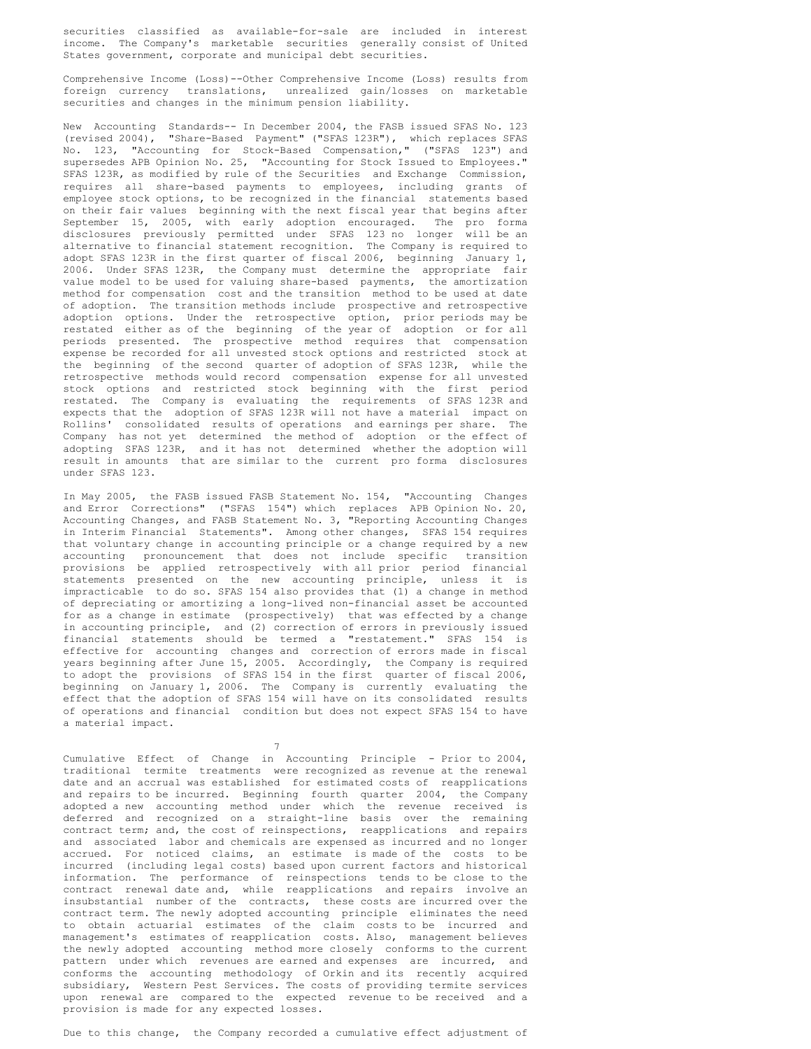securities classified as available-for-sale are included in interest income. The Company's marketable securities generally consist of United States government, corporate and municipal debt securities.

Comprehensive Income (Loss)--Other Comprehensive Income (Loss) results from foreign currency translations, unrealized gain/losses on marketable securities and changes in the minimum pension liability.

New Accounting Standards-- In December 2004, the FASB issued SFAS No. 123 (revised 2004), "Share-Based Payment" ("SFAS 123R"), which replaces SFAS No. 123, "Accounting for Stock-Based Compensation," ("SFAS 123") and supersedes APB Opinion No. 25, "Accounting for Stock Issued to Employees." SFAS 123R, as modified by rule of the Securities and Exchange Commission, requires all share-based payments to employees, including grants of employee stock options, to be recognized in the financial statements based on their fair values beginning with the next fiscal year that begins after September 15, 2005, with early adoption encouraged. The pro forma disclosures previously permitted under SFAS 123 no longer will be an alternative to financial statement recognition. The Company is required to adopt SFAS 123R in the first quarter of fiscal 2006, beginning January 1, 2006. Under SFAS 123R, the Company must determine the appropriate fair value model to be used for valuing share-based payments, the amortization method for compensation cost and the transition method to be used at date of adoption. The transition methods include prospective and retrospective adoption options. Under the retrospective option, prior periods may be restated either as of the beginning of the year of adoption or for all periods presented. The prospective method requires that compensation expense be recorded for all unvested stock options and restricted stock at the beginning of the second quarter of adoption of SFAS 123R, while the retrospective methods would record compensation expense for all unvested stock options and restricted stock beginning with the first period restated. The Company is evaluating the requirements of SFAS 123R and expects that the adoption of SFAS 123R will not have a material impact on Rollins' consolidated results of operations and earnings per share. The Company has not yet determined the method of adoption or the effect of adopting SFAS 123R, and it has not determined whether the adoption will result in amounts that are similar to the current pro forma disclosures under SFAS 123.

In May 2005, the FASB issued FASB Statement No. 154, "Accounting Changes and Error Corrections" ("SFAS 154") which replaces APB Opinion No. 20, Accounting Changes, and FASB Statement No. 3, "Reporting Accounting Changes in Interim Financial Statements". Among other changes, SFAS 154 requires that voluntary change in accounting principle or a change required by a new accounting pronouncement that does not include specific transition provisions be applied retrospectively with all prior period financial statements presented on the new accounting principle, unless it is impracticable to do so. SFAS 154 also provides that (1) a change in method of depreciating or amortizing a long-lived non-financial asset be accounted for as a change in estimate (prospectively) that was effected by a change in accounting principle, and (2) correction of errors in previously issued financial statements should be termed a "restatement." SFAS 154 is effective for accounting changes and correction of errors made in fiscal years beginning after June 15, 2005. Accordingly, the Company is required to adopt the provisions of SFAS 154 in the first quarter of fiscal 2006, beginning on January 1, 2006. The Company is currently evaluating the effect that the adoption of SFAS 154 will have on its consolidated results of operations and financial condition but does not expect SFAS 154 to have a material impact.

7

Cumulative Effect of Change in Accounting Principle - Prior to 2004, traditional termite treatments were recognized as revenue at the renewal date and an accrual was established for estimated costs of reapplications and repairs to be incurred. Beginning fourth quarter 2004, the Company adopted a new accounting method under which the revenue received is deferred and recognized on a straight-line basis over the remaining contract term; and, the cost of reinspections, reapplications and repairs and associated labor and chemicals are expensed as incurred and no longer accrued. For noticed claims, an estimate is made of the costs to be incurred (including legal costs) based upon current factors and historical information. The performance of reinspections tends to be close to the contract renewal date and, while reapplications and repairs involve an insubstantial number of the contracts, these costs are incurred over the contract term. The newly adopted accounting principle eliminates the need to obtain actuarial estimates of the claim costs to be incurred and management's estimates of reapplication costs. Also, management believes the newly adopted accounting method more closely conforms to the current pattern under which revenues are earned and expenses are incurred, and conforms the accounting methodology of Orkin and its recently acquired subsidiary, Western Pest Services. The costs of providing termite services upon renewal are compared to the expected revenue to be received and a provision is made for any expected losses.

Due to this change, the Company recorded a cumulative effect adjustment of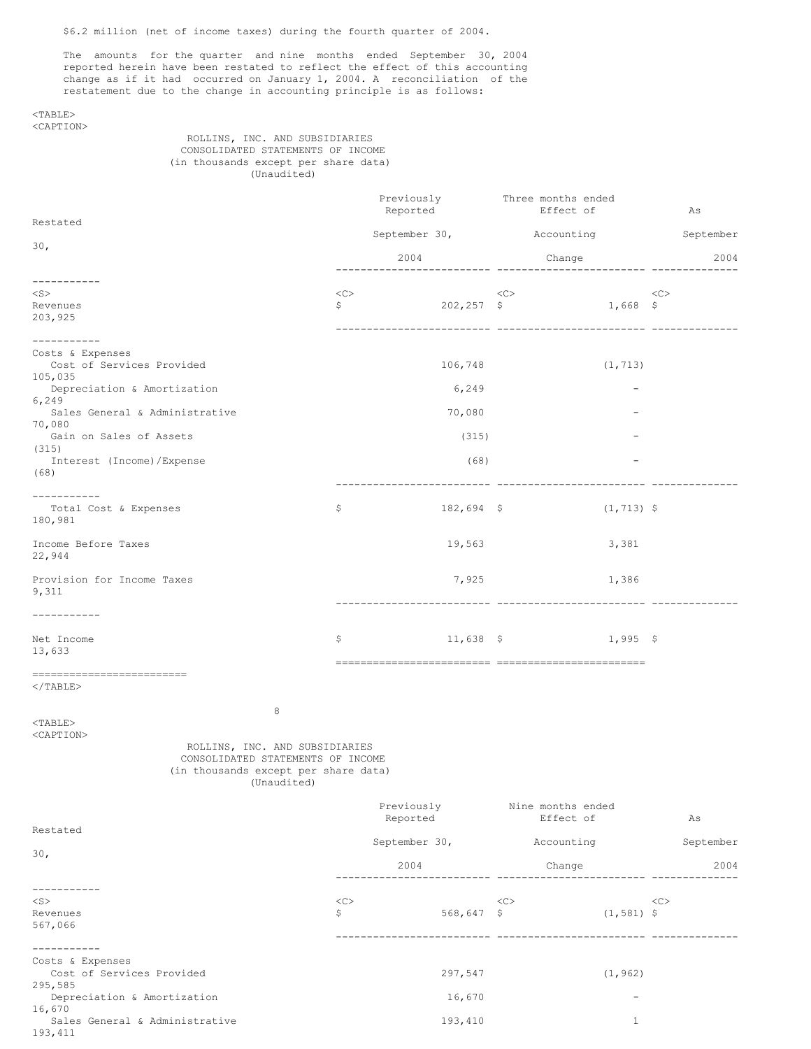The amounts for the quarter and nine months ended September 30, 2004 reported herein have been restated to reflect the effect of this accounting change as if it had occurred on January 1, 2004. A reconciliation of the restatement due to the change in accounting principle is as follows:

<TABLE> <CAPTION>

# ROLLINS, INC. AND SUBSIDIARIES CONSOLIDATED STATEMENTS OF INCOME (in thousands except per share data) (Unaudited)

| Restated                                                                                                                                                                                                                               |           | Previously<br>Reported<br>September 30,     | Three months ended<br>Effect of<br>Accounting    | As<br>September |
|----------------------------------------------------------------------------------------------------------------------------------------------------------------------------------------------------------------------------------------|-----------|---------------------------------------------|--------------------------------------------------|-----------------|
| 30 <sub>1</sub>                                                                                                                                                                                                                        |           | 2004                                        | Change<br>------ -----------                     | 2004            |
| -----------<br>$<$ S $>$<br>Revenues<br>203,925                                                                                                                                                                                        | <<><br>\$ | $202, 257$ \$                               | <<><br>$1,668$ \$<br>---------------------       | <<              |
| -----------<br>Costs & Expenses<br>Cost of Services Provided<br>105,035<br>Depreciation & Amortization<br>6,249<br>Sales General & Administrative<br>70,080<br>Gain on Sales of Assets<br>(315)<br>Interest (Income) / Expense<br>(68) |           | 106,748<br>6,249<br>70,080<br>(315)<br>(68) | (1, 713)<br>$\qquad \qquad -$<br>_______________ |                 |
| -----------<br>Total Cost & Expenses<br>180,981                                                                                                                                                                                        | \$        | $182,694$ \$                                | $(1, 713)$ \$                                    |                 |
| Income Before Taxes<br>22,944                                                                                                                                                                                                          |           | 19,563                                      | 3,381                                            |                 |
| Provision for Income Taxes<br>9,311                                                                                                                                                                                                    |           | 7,925                                       | 1,386                                            |                 |
| ----------                                                                                                                                                                                                                             |           |                                             |                                                  |                 |
| Net Income<br>13,633                                                                                                                                                                                                                   | \$        | $11,638$ \$<br>=======================      | $1,995$ \$<br>-----------------                  |                 |
| ---------------------------                                                                                                                                                                                                            |           |                                             |                                                  |                 |

 $<$ /TABLE>

 $<$ TABLE> <CAPTION>

# ROLLINS, INC. AND SUBSIDIARIES CONSOLIDATED STATEMENTS OF INCOME (in thousands except per share data) (Unaudited)

8

|                                           |    | Previously<br>Reported |    | Nine months ended<br>Effect of | As         |  |
|-------------------------------------------|----|------------------------|----|--------------------------------|------------|--|
| Restated                                  |    |                        |    |                                |            |  |
| 30,                                       |    | September 30,          |    | Accounting                     | September  |  |
|                                           |    | 2004                   |    | Change                         | 2004       |  |
|                                           |    |                        |    |                                |            |  |
| < s                                       | << |                        | << |                                | $<<$ C $>$ |  |
| Revenues                                  | \$ | $568,647$ \$           |    | $(1, 581)$ \$                  |            |  |
| 567,066                                   |    |                        |    |                                |            |  |
| Costs & Expenses                          |    |                        |    |                                |            |  |
| Cost of Services Provided                 |    | 297,547                |    | (1, 962)                       |            |  |
| 295,585                                   |    |                        |    |                                |            |  |
| Depreciation & Amortization               |    | 16,670                 |    |                                |            |  |
| 16,670                                    |    |                        |    |                                |            |  |
| Sales General & Administrative<br>193,411 |    | 193,410                |    | $\mathbf{1}$                   |            |  |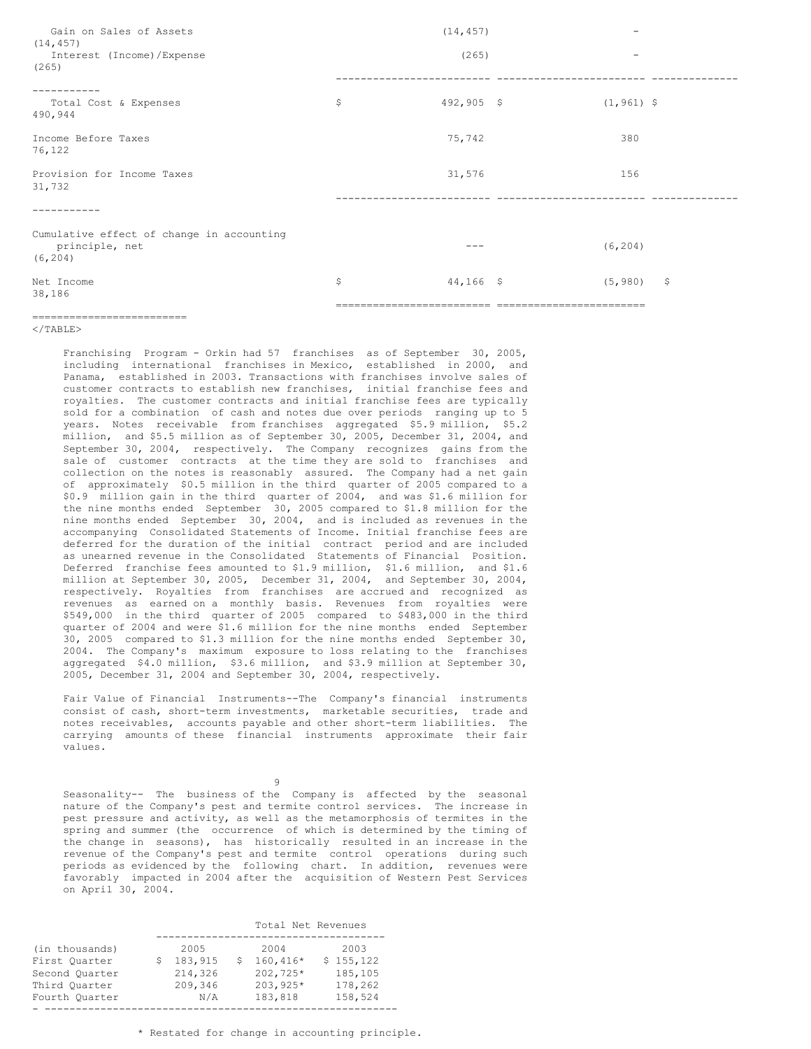| Gain on Sales of Assets<br>(14, 457)                                    | (14, 457)          |               |
|-------------------------------------------------------------------------|--------------------|---------------|
| Interest (Income) / Expense<br>(265)                                    | (265)              |               |
| Total Cost & Expenses<br>490,944                                        | \$<br>$492,905$ \$ | $(1, 961)$ \$ |
| Income Before Taxes<br>76,122                                           | 75,742             | 380           |
| Provision for Income Taxes<br>31,732                                    | 31,576             | 156           |
|                                                                         |                    |               |
| Cumulative effect of change in accounting<br>principle, net<br>(6, 204) |                    | (6, 204)      |
| Net Income<br>38,186                                                    | \$<br>$44,166$ \$  | $(5,980)$ \$  |
| --------------------------------                                        |                    |               |

### $<$ /TABLE>

Franchising Program - Orkin had 57 franchises as of September 30, 2005, including international franchises in Mexico, established in 2000, and Panama, established in 2003. Transactions with franchises involve sales of customer contracts to establish new franchises, initial franchise fees and royalties. The customer contracts and initial franchise fees are typically sold for a combination of cash and notes due over periods ranging up to 5 years. Notes receivable from franchises aggregated \$5.9 million, \$5.2 million, and \$5.5 million as of September 30, 2005, December 31, 2004, and September 30, 2004, respectively. The Company recognizes gains from the sale of customer contracts at the time they are sold to franchises and collection on the notes is reasonably assured. The Company had a net gain of approximately \$0.5 million in the third quarter of 2005 compared to a \$0.9 million gain in the third quarter of 2004, and was \$1.6 million for the nine months ended September 30, 2005 compared to \$1.8 million for the nine months ended September 30, 2004, and is included as revenues in the accompanying Consolidated Statements of Income. Initial franchise fees are deferred for the duration of the initial contract period and are included as unearned revenue in the Consolidated Statements of Financial Position. Deferred franchise fees amounted to \$1.9 million, \$1.6 million, and \$1.6 million at September 30, 2005, December 31, 2004, and September 30, 2004, respectively. Royalties from franchises are accrued and recognized as revenues as earned on a monthly basis. Revenues from royalties were \$549,000 in the third quarter of 2005 compared to \$483,000 in the third quarter of 2004 and were \$1.6 million for the nine months ended September 30, 2005 compared to \$1.3 million for the nine months ended September 30, 2004. The Company's maximum exposure to loss relating to the franchises aggregated \$4.0 million, \$3.6 million, and \$3.9 million at September 30, 2005, December 31, 2004 and September 30, 2004, respectively.

Fair Value of Financial Instruments--The Company's financial instruments consist of cash, short-term investments, marketable securities, trade and notes receivables, accounts payable and other short-term liabilities. The carrying amounts of these financial instruments approximate their fair values.

Seasonality-- The business of the Company is affected by the seasonal nature of the Company's pest and termite control services. The increase in pest pressure and activity, as well as the metamorphosis of termites in the spring and summer (the occurrence of which is determined by the timing of the change in seasons), has historically resulted in an increase in the revenue of the Company's pest and termite control operations during such

periods as evidenced by the following chart. In addition, revenues were favorably impacted in 2004 after the acquisition of Western Pest Services

9

|                | Total Net Revenues |         |  |            |           |  |  |
|----------------|--------------------|---------|--|------------|-----------|--|--|
|                |                    |         |  |            |           |  |  |
| (in thousands) |                    | 2005    |  | 2004       | 2003      |  |  |
| First Ouarter  |                    | 183,915 |  | $160,416*$ | \$155,122 |  |  |
| Second Quarter |                    | 214,326 |  | 202.725*   | 185,105   |  |  |
| Third Quarter  |                    | 209,346 |  | 203.925*   | 178,262   |  |  |
| Fourth Quarter |                    | N/A     |  | 183,818    | 158,524   |  |  |
|                |                    |         |  |            |           |  |  |

on April 30, 2004.

\* Restated for change in accounting principle.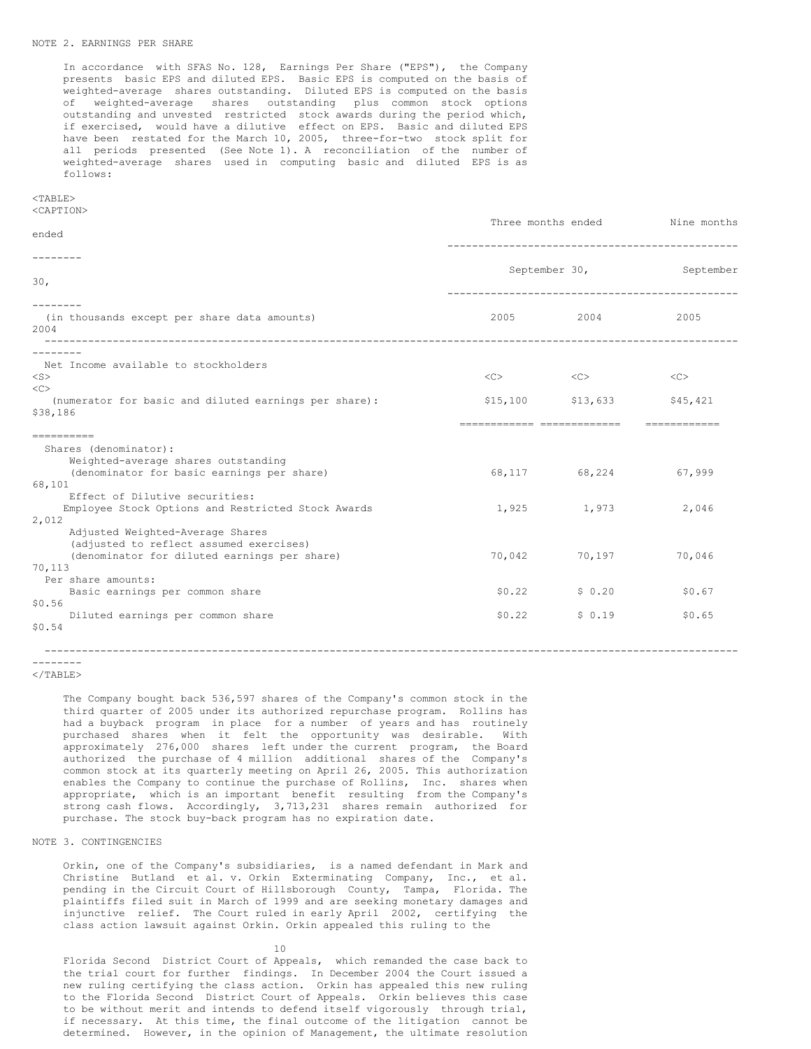#### NOTE 2. EARNINGS PER SHARE

In accordance with SFAS No. 128, Earnings Per Share ("EPS"), the Company presents basic EPS and diluted EPS. Basic EPS is computed on the basis of weighted-average shares outstanding. Diluted EPS is computed on the basis of weighted-average shares outstanding plus common stock options outstanding and unvested restricted stock awards during the period which, if exercised, would have a dilutive effect on EPS. Basic and diluted EPS have been restated for the March 10, 2005, three-for-two stock split for all periods presented (See Note 1). A reconciliation of the number of weighted-average shares used in computing basic and diluted EPS is as follows:

 $<$ TABLE> <CAPTION>

| ended                                                                                       |                     | Three months ended Nine months |                         |  |
|---------------------------------------------------------------------------------------------|---------------------|--------------------------------|-------------------------|--|
|                                                                                             |                     |                                | September 30, September |  |
| 30,                                                                                         |                     |                                |                         |  |
| (in thousands except per share data amounts)<br>2004                                        |                     | 2005 2004 2005                 | 2005                    |  |
| Net Income available to stockholders                                                        |                     |                                |                         |  |
| $<$ S $>$<br><<                                                                             | $\langle C \rangle$ | < <c></c>                      | $<<$ $<$ $<$ $>$        |  |
| (numerator for basic and diluted earnings per share):<br>\$38,186                           |                     | $$15,100$ $$13,633$            | \$45,421                |  |
| ==========<br>Shares (denominator):                                                         |                     |                                |                         |  |
| Weighted-average shares outstanding<br>(denominator for basic earnings per share)<br>68,101 |                     | 68, 117 68, 224                | 67,999                  |  |
| Effect of Dilutive securities:<br>Employee Stock Options and Restricted Stock Awards        |                     | 1,925 1,973                    | 2,046                   |  |
| 2,012<br>Adjusted Weighted-Average Shares<br>(adjusted to reflect assumed exercises)        |                     |                                |                         |  |
| (denominator for diluted earnings per share)<br>70,113                                      |                     | 70,042 70,197                  | 70,046                  |  |
| Per share amounts:                                                                          |                     |                                |                         |  |
| Basic earnings per common share                                                             |                     | $$0.22$ $$0.20$                | \$0.67                  |  |
| \$0.56<br>Diluted earnings per common share                                                 | \$0.22              | \$0.19                         | \$0.65                  |  |
| \$0.54                                                                                      |                     |                                |                         |  |
|                                                                                             |                     |                                |                         |  |

--------  $\langle$ /TABLE>

The Company bought back 536,597 shares of the Company's common stock in the third quarter of 2005 under its authorized repurchase program. Rollins has had a buyback program in place for a number of years and has routinely purchased shares when it felt the opportunity was desirable. With approximately 276,000 shares left under the current program, the Board authorized the purchase of 4 million additional shares of the Company's common stock at its quarterly meeting on April 26, 2005. This authorization enables the Company to continue the purchase of Rollins, Inc. shares when appropriate, which is an important benefit resulting from the Company's strong cash flows. Accordingly, 3,713,231 shares remain authorized for purchase. The stock buy-back program has no expiration date.

### NOTE 3. CONTINGENCIES

Orkin, one of the Company's subsidiaries, is a named defendant in Mark and Christine Butland et al. v. Orkin Exterminating Company, Inc., et al. pending in the Circuit Court of Hillsborough County, Tampa, Florida. The plaintiffs filed suit in March of 1999 and are seeking monetary damages and injunctive relief. The Court ruled in early April 2002, certifying the class action lawsuit against Orkin. Orkin appealed this ruling to the

10 Florida Second District Court of Appeals, which remanded the case back to the trial court for further findings. In December 2004 the Court issued a new ruling certifying the class action. Orkin has appealed this new ruling to the Florida Second District Court of Appeals. Orkin believes this case to be without merit and intends to defend itself vigorously through trial, if necessary. At this time, the final outcome of the litigation cannot be determined. However, in the opinion of Management, the ultimate resolution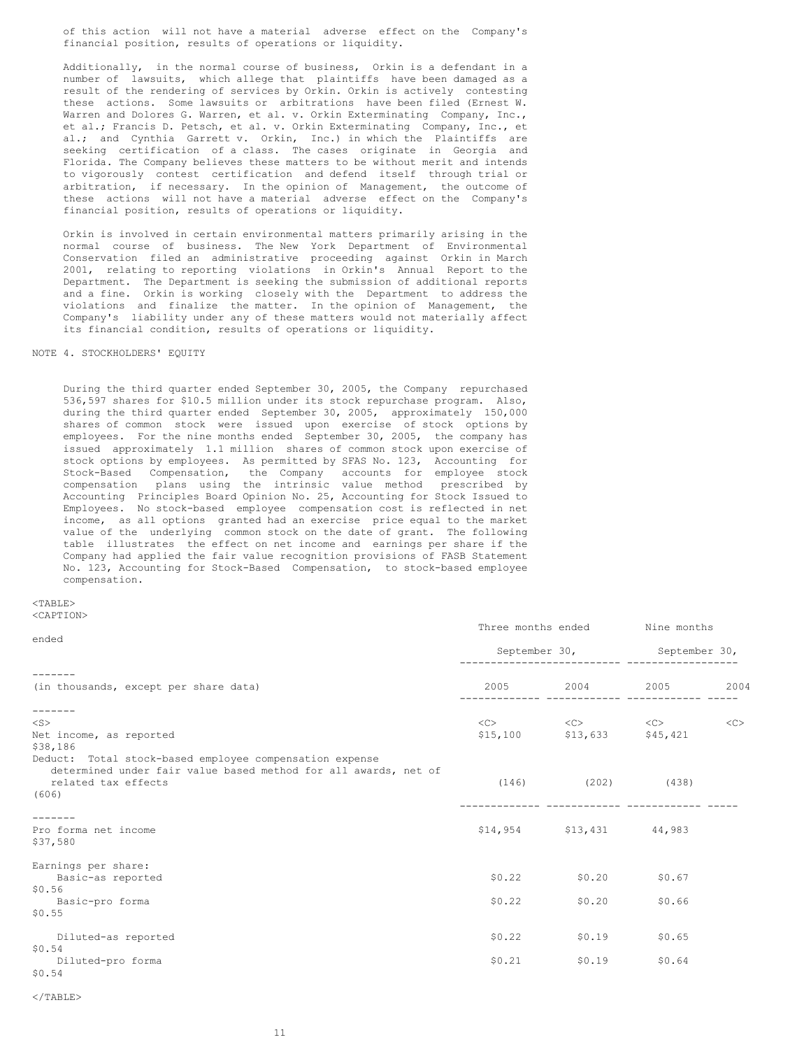of this action will not have a material adverse effect on the Company's financial position, results of operations or liquidity.

Additionally, in the normal course of business, Orkin is a defendant in a number of lawsuits, which allege that plaintiffs have been damaged as a result of the rendering of services by Orkin. Orkin is actively contesting these actions. Some lawsuits or arbitrations have been filed (Ernest W. Warren and Dolores G. Warren, et al. v. Orkin Exterminating Company, Inc., et al.; Francis D. Petsch, et al. v. Orkin Exterminating Company, Inc., et al.; and Cynthia Garrett v. Orkin, Inc.) in which the Plaintiffs are seeking certification of a class. The cases originate in Georgia and Florida. The Company believes these matters to be without merit and intends to vigorously contest certification and defend itself through trial or arbitration, if necessary. In the opinion of Management, the outcome of these actions will not have a material adverse effect on the Company's financial position, results of operations or liquidity.

Orkin is involved in certain environmental matters primarily arising in the normal course of business. The New York Department of Environmental Conservation filed an administrative proceeding against Orkin in March 2001, relating to reporting violations in Orkin's Annual Report to the Department. The Department is seeking the submission of additional reports and a fine. Orkin is working closely with the Department to address the violations and finalize the matter. In the opinion of Management, the Company's liability under any of these matters would not materially affect its financial condition, results of operations or liquidity.

# NOTE 4. STOCKHOLDERS' EQUITY

During the third quarter ended September 30, 2005, the Company repurchased 536,597 shares for \$10.5 million under its stock repurchase program. Also, during the third quarter ended September 30, 2005, approximately 150,000 shares of common stock were issued upon exercise of stock options by employees. For the nine months ended September 30, 2005, the company has issued approximately 1.1 million shares of common stock upon exercise of stock options by employees. As permitted by SFAS No. 123, Accounting for Stock-Based Compensation, the Company accounts for employee stock compensation plans using the intrinsic value method prescribed by Accounting Principles Board Opinion No. 25, Accounting for Stock Issued to Employees. No stock-based employee compensation cost is reflected in net income, as all options granted had an exercise price equal to the market value of the underlying common stock on the date of grant. The following table illustrates the effect on net income and earnings per share if the Company had applied the fair value recognition provisions of FASB Statement No. 123, Accounting for Stock-Based Compensation, to stock-based employee compensation.

# $<$ TABLE>

<CAPTION>

| ended                                                                                                                                                      | THE CC MONGHO CHUCU            |                                                                                           |                             |    |  |
|------------------------------------------------------------------------------------------------------------------------------------------------------------|--------------------------------|-------------------------------------------------------------------------------------------|-----------------------------|----|--|
|                                                                                                                                                            | ----------------------- ------ |                                                                                           | September 30, September 30, |    |  |
| (in thousands, except per share data)                                                                                                                      |                                | 2005 2004 2005 2004                                                                       |                             |    |  |
|                                                                                                                                                            |                                | ---------- ------------ ----------                                                        |                             |    |  |
| $<$ S $>$<br>Net income, as reported<br>\$38,186                                                                                                           |                                | $\langle C \rangle$ $\langle C \rangle$ $\langle C \rangle$<br>\$15,100 \$13,633 \$45,421 |                             | << |  |
| Deduct: Total stock-based employee compensation expense<br>determined under fair value based method for all awards, net of<br>related tax effects<br>(606) |                                | $(146)$ $(202)$ $(438)$<br>------------- --                                               |                             |    |  |
|                                                                                                                                                            |                                |                                                                                           |                             |    |  |
| Pro forma net income<br>\$37,580                                                                                                                           |                                | $$14,954$ $$13,431$ $44,983$                                                              |                             |    |  |
| Earnings per share:                                                                                                                                        |                                |                                                                                           |                             |    |  |
| Basic-as reported<br>\$0.56                                                                                                                                | \$0.22                         | \$0.20                                                                                    | \$0.67                      |    |  |
| Basic-pro forma<br>\$0.55                                                                                                                                  | \$0.22                         | \$0.20                                                                                    | \$0.66                      |    |  |
| Diluted-as reported<br>\$0.54                                                                                                                              | \$0.22                         | \$0.19                                                                                    | \$0.65                      |    |  |
| Diluted-pro forma<br>\$0.54                                                                                                                                | \$0.21                         | \$0.19                                                                                    | \$0.64                      |    |  |

Three months ended Nine months

 $\langle$ /TABLE>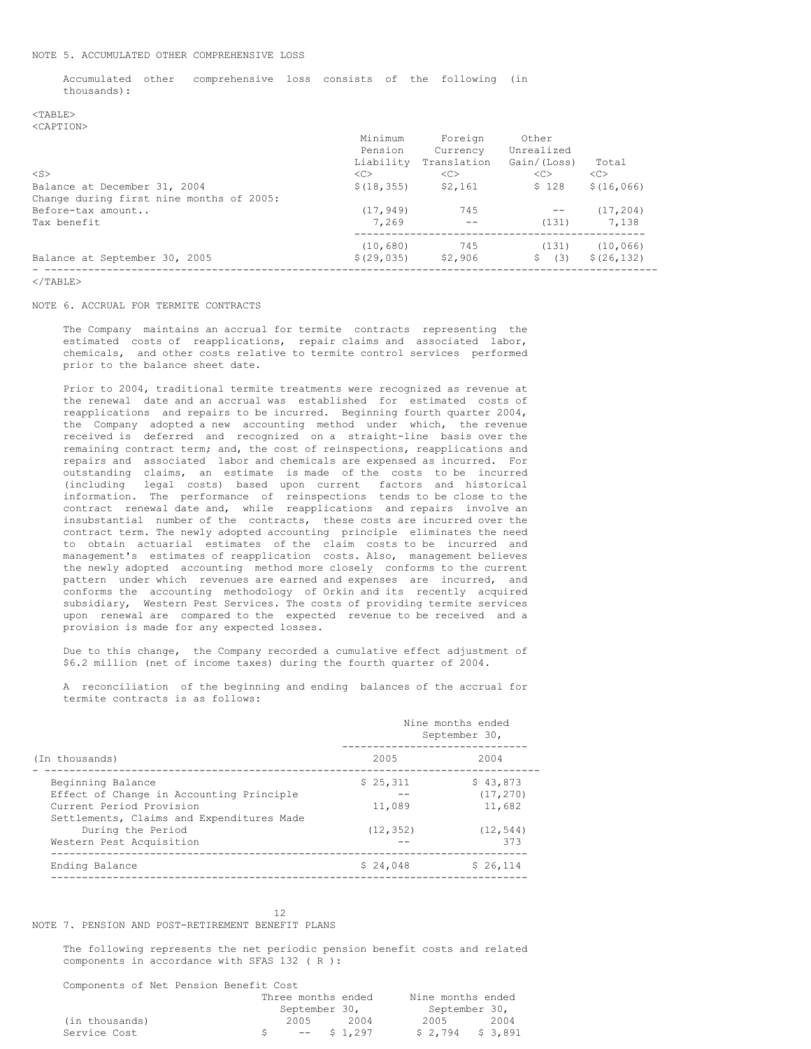Accumulated other comprehensive loss consists of the following (in thousands):

 $<$ TABLE> <CAPTION>

|                                                                          | Minimum<br>Pension<br>Liability | Foreign<br>Currency<br>Translation | Other<br>Unrealized<br>Gain/(Loss) | Total       |  |
|--------------------------------------------------------------------------|---------------------------------|------------------------------------|------------------------------------|-------------|--|
| $<$ S $>$                                                                | < <sub></sub>                   | < <sub></sub>                      | $<<$ $<$ $>$                       | <<          |  |
| Balance at December 31, 2004<br>Change during first nine months of 2005: | \$(18, 355)                     | \$2,161                            | \$128                              | \$(16, 066) |  |
| Before-tax amount                                                        | (17, 949)                       | 745                                |                                    | (17, 204)   |  |
| Tax benefit                                                              | 7.269                           | $- -$                              | (131)                              | 7.138       |  |
|                                                                          | (10, 680)                       | 745                                | (131)                              | (10, 066)   |  |
| Balance at September 30, 2005                                            | \$(29, 035)                     | \$2,906                            | (3)<br>S.                          | \$(26, 132) |  |

 $\langle$ /TABLE>

NOTE 6. ACCRUAL FOR TERMITE CONTRACTS

The Company maintains an accrual for termite contracts representing the estimated costs of reapplications, repair claims and associated labor, chemicals, and other costs relative to termite control services performed prior to the balance sheet date.

Prior to 2004, traditional termite treatments were recognized as revenue at the renewal date and an accrual was established for estimated costs of reapplications and repairs to be incurred. Beginning fourth quarter 2004, the Company adopted a new accounting method under which, the revenue received is deferred and recognized on a straight-line basis over the remaining contract term; and, the cost of reinspections, reapplications and repairs and associated labor and chemicals are expensed as incurred. For outstanding claims, an estimate is made of the costs to be incurred (including legal costs) based upon current factors and historical information. The performance of reinspections tends to be close to the contract renewal date and, while reapplications and repairs involve an insubstantial number of the contracts, these costs are incurred over the contract term. The newly adopted accounting principle eliminates the need to obtain actuarial estimates of the claim costs to be incurred and management's estimates of reapplication costs. Also, management believes the newly adopted accounting method more closely conforms to the current pattern under which revenues are earned and expenses are incurred, and conforms the accounting methodology of Orkin and its recently acquired subsidiary, Western Pest Services. The costs of providing termite services upon renewal are compared to the expected revenue to be received and a provision is made for any expected losses.

Due to this change, the Company recorded a cumulative effect adjustment of \$6.2 million (net of income taxes) during the fourth quarter of 2004.

A reconciliation of the beginning and ending balances of the accrual for termite contracts is as follows:

|                                                                                                                                        | Nine months ended<br>September 30, |                                 |  |  |
|----------------------------------------------------------------------------------------------------------------------------------------|------------------------------------|---------------------------------|--|--|
| (In thousands)                                                                                                                         | 2005                               | 2004                            |  |  |
| Beginning Balance<br>Effect of Change in Accounting Principle<br>Current Period Provision<br>Settlements, Claims and Expenditures Made | \$25,311<br>11,089                 | \$43,873<br>(17, 270)<br>11,682 |  |  |
| During the Period<br>Western Pest Acquisition                                                                                          | (12, 352)                          | (12, 544)<br>373                |  |  |
| Ending Balance                                                                                                                         | \$24,048                           | \$26,114                        |  |  |

## 12 NOTE 7. PENSION AND POST-RETIREMENT BENEFIT PLANS

The following represents the net periodic pension benefit costs and related components in accordance with SFAS 132 ( R ):

| Components of Net Pension Benefit Cost |                    |      |                   |      |
|----------------------------------------|--------------------|------|-------------------|------|
|                                        |                    |      |                   |      |
|                                        | Three months ended |      | Nine months ended |      |
|                                        | September 30,      |      | September 30,     |      |
| (in thousands)                         | 2005               | 2004 | 2005              | 2004 |
| Service Cost                           | -- \$1,297         |      | $$2,794$ $$3,891$ |      |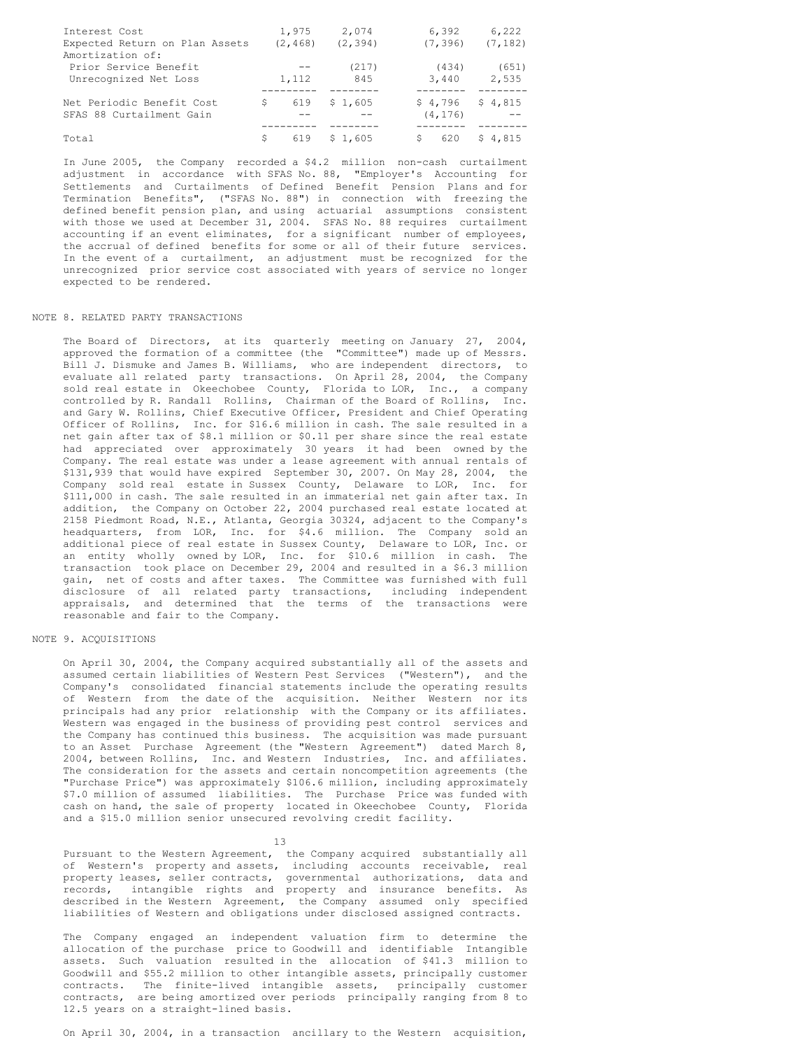| Interest Cost                  |   | 1,975    | 2,074    | 6,392    | 6,222    |
|--------------------------------|---|----------|----------|----------|----------|
| Expected Return on Plan Assets |   | (2, 468) | (2, 394) | (7, 396) | (7, 182) |
| Amortization of:               |   |          |          |          |          |
| Prior Service Benefit          |   |          | (217)    | (434)    | (651)    |
| Unrecognized Net Loss          |   | 1,112    | 845      | 3,440    | 2,535    |
|                                |   |          |          |          |          |
| Net Periodic Benefit Cost      | S | 619      | \$1.605  | \$4,796  | \$4,815  |
| SFAS 88 Curtailment Gain       |   |          |          | (4, 176) |          |
|                                |   |          |          |          |          |
| Total                          | S | 619      | \$1.605  | 620      | \$4.815  |

In June 2005, the Company recorded a \$4.2 million non-cash curtailment adjustment in accordance with SFAS No. 88, "Employer's Accounting for Settlements and Curtailments of Defined Benefit Pension Plans and for Termination Benefits", ("SFAS No. 88") in connection with freezing the defined benefit pension plan, and using actuarial assumptions consistent with those we used at December 31, 2004. SFAS No. 88 requires curtailment accounting if an event eliminates, for a significant number of employees, the accrual of defined benefits for some or all of their future services. In the event of a curtailment, an adjustment must be recognized for the unrecognized prior service cost associated with years of service no longer expected to be rendered.

#### NOTE 8. RELATED PARTY TRANSACTIONS

The Board of Directors, at its quarterly meeting on January 27, 2004, approved the formation of a committee (the "Committee") made up of Messrs. Bill J. Dismuke and James B. Williams, who are independent directors, to evaluate all related party transactions. On April 28, 2004, the Company sold real estate in Okeechobee County, Florida to LOR, Inc., a company controlled by R. Randall Rollins, Chairman of the Board of Rollins, Inc. and Gary W. Rollins, Chief Executive Officer, President and Chief Operating Officer of Rollins, Inc. for \$16.6 million in cash. The sale resulted in a net gain after tax of \$8.1 million or \$0.11 per share since the real estate had appreciated over approximately 30 years it had been owned by the Company. The real estate was under a lease agreement with annual rentals of \$131,939 that would have expired September 30, 2007. On May 28, 2004, the Company sold real estate in Sussex County, Delaware to LOR, Inc. for \$111,000 in cash. The sale resulted in an immaterial net gain after tax. In addition, the Company on October 22, 2004 purchased real estate located at 2158 Piedmont Road, N.E., Atlanta, Georgia 30324, adjacent to the Company's headquarters, from LOR, Inc. for \$4.6 million. The Company sold an additional piece of real estate in Sussex County, Delaware to LOR, Inc. or an entity wholly owned by LOR, Inc. for \$10.6 million in cash. The transaction took place on December 29, 2004 and resulted in a \$6.3 million gain, net of costs and after taxes. The Committee was furnished with full disclosure of all related party transactions, including independent appraisals, and determined that the terms of the transactions were reasonable and fair to the Company.

# NOTE 9. ACQUISITIONS

On April 30, 2004, the Company acquired substantially all of the assets and assumed certain liabilities of Western Pest Services ("Western"), and the Company's consolidated financial statements include the operating results of Western from the date of the acquisition. Neither Western nor its principals had any prior relationship with the Company or its affiliates. Western was engaged in the business of providing pest control services and the Company has continued this business. The acquisition was made pursuant to an Asset Purchase Agreement (the "Western Agreement") dated March 8, 2004, between Rollins, Inc. and Western Industries, Inc. and affiliates. The consideration for the assets and certain noncompetition agreements (the "Purchase Price") was approximately \$106.6 million, including approximately \$7.0 million of assumed liabilities. The Purchase Price was funded with cash on hand, the sale of property located in Okeechobee County, Florida and a \$15.0 million senior unsecured revolving credit facility.

13

Pursuant to the Western Agreement, the Company acquired substantially all of Western's property and assets, including accounts receivable, real property leases, seller contracts, governmental authorizations, data and records, intangible rights and property and insurance benefits. As described in the Western Agreement, the Company assumed only specified liabilities of Western and obligations under disclosed assigned contracts.

The Company engaged an independent valuation firm to determine the allocation of the purchase price to Goodwill and identifiable Intangible assets. Such valuation resulted in the allocation of \$41.3 million to Goodwill and \$55.2 million to other intangible assets, principally customer contracts. The finite-lived intangible assets, principally customer contracts, are being amortized over periods principally ranging from 8 to 12.5 years on a straight-lined basis.

On April 30, 2004, in a transaction ancillary to the Western acquisition,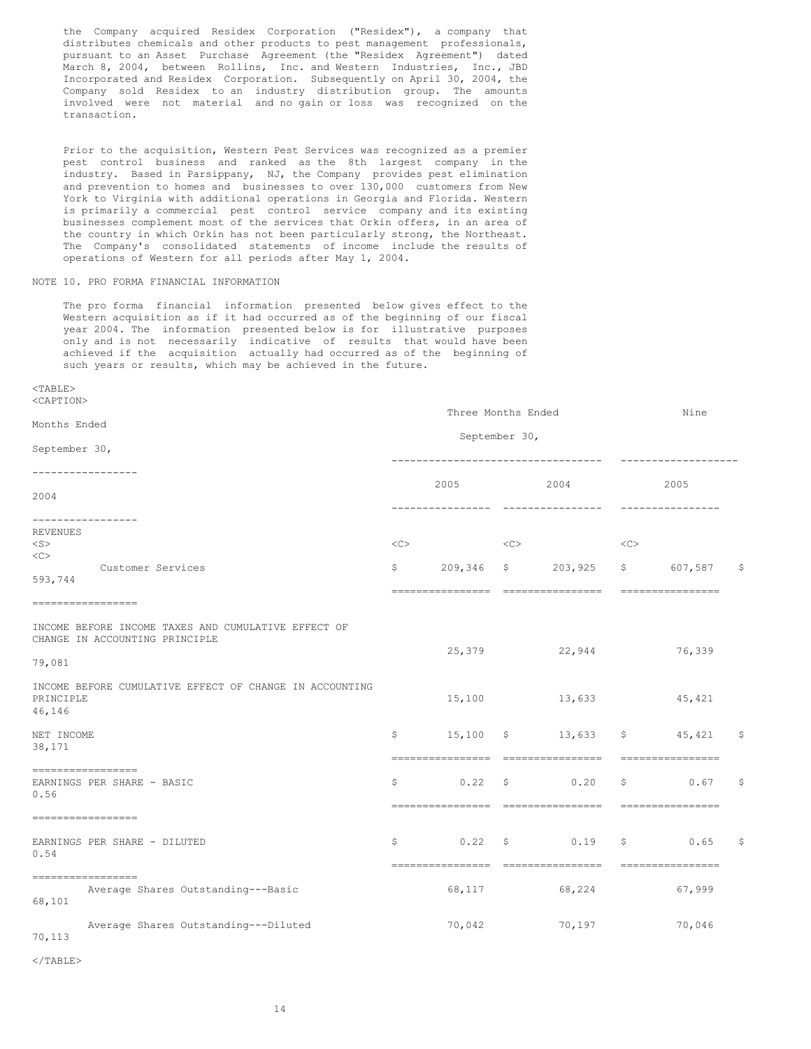the Company acquired Residex Corporation ("Residex"), a company that distributes chemicals and other products to pest management professionals, pursuant to an Asset Purchase Agreement (the "Residex Agreement") dated March 8, 2004, between Rollins, Inc. and Western Industries, Inc., JBD Incorporated and Residex Corporation. Subsequently on April 30, 2004, the Company sold Residex to an industry distribution group. The amounts involved were not material and no gain or loss was recognized on the transaction.

Prior to the acquisition, Western Pest Services was recognized as a premier pest control business and ranked as the 8th largest company in the industry. Based in Parsippany, NJ, the Company provides pest elimination and prevention to homes and businesses to over 130,000 customers from New York to Virginia with additional operations in Georgia and Florida. Western is primarily a commercial pest control service company and its existing businesses complement most of the services that Orkin offers, in an area of the country in which Orkin has not been particularly strong, the Northeast. The Company's consolidated statements of income include the results of operations of Western for all periods after May 1, 2004.

## NOTE 10. PRO FORMA FINANCIAL INFORMATION

The pro forma financial information presented below gives effect to the Western acquisition as if it had occurred as of the beginning of our fiscal year 2004. The information presented below is for illustrative purposes only and is not necessarily indicative of results that would have been achieved if the acquisition actually had occurred as of the beginning of such years or results, which may be achieved in the future.

<TABLE> <CAPTION>

|                                                                                       |    | Three Months Ended | Nine      |                                                |              |                                   |              |
|---------------------------------------------------------------------------------------|----|--------------------|-----------|------------------------------------------------|--------------|-----------------------------------|--------------|
| Months Ended                                                                          |    | September 30,      |           |                                                |              |                                   |              |
| September 30,                                                                         |    |                    |           | -------------------------------------          |              |                                   |              |
| -----------------<br>2004                                                             |    | 2005               |           | 2004                                           |              | 2005                              |              |
| -----------------                                                                     |    |                    |           |                                                |              |                                   |              |
| REVENUES<br>$<$ S $>$<br><<                                                           | << |                    | < <c></c> |                                                | <<           |                                   |              |
| Customer Services<br>593,744                                                          | \$ | $209,346$ \$       |           | 203,925<br>=================================== | $\mathsf{S}$ | $607,587$ \$<br>----------------- |              |
| =================                                                                     |    |                    |           |                                                |              |                                   |              |
| INCOME BEFORE INCOME TAXES AND CUMULATIVE EFFECT OF<br>CHANGE IN ACCOUNTING PRINCIPLE |    | 25,379             |           | 22,944                                         |              | 76,339                            |              |
| 79,081                                                                                |    |                    |           |                                                |              |                                   |              |
| INCOME BEFORE CUMULATIVE EFFECT OF CHANGE IN ACCOUNTING<br>PRINCIPLE<br>46,146        |    | 15,100             |           | 13,633                                         |              | 45,421                            |              |
| NET INCOME<br>38,171                                                                  | \$ |                    |           |                                                |              | \$45,421<br>=================     | $\mathsf{S}$ |
| ==================<br>EARNINGS PER SHARE - BASIC<br>0.56                              | \$ | 0.22               | \$        | 0.20<br>==================================     | \$           | 0.67<br>----------------          | -\$          |
| ==================<br>EARNINGS PER SHARE - DILUTED<br>0.54                            | \$ | 0.22               | \$        | 0.19<br>==================================     | \$.          | 0.65<br>=================         | -S           |
| =================<br>Average Shares Outstanding---Basic<br>68,101                     |    | 68,117             |           | 68,224                                         |              | 67,999                            |              |
| Average Shares Outstanding---Diluted<br>70,113                                        |    | 70,042             |           | 70,197                                         |              | 70,046                            |              |

 $<$ /TABLE>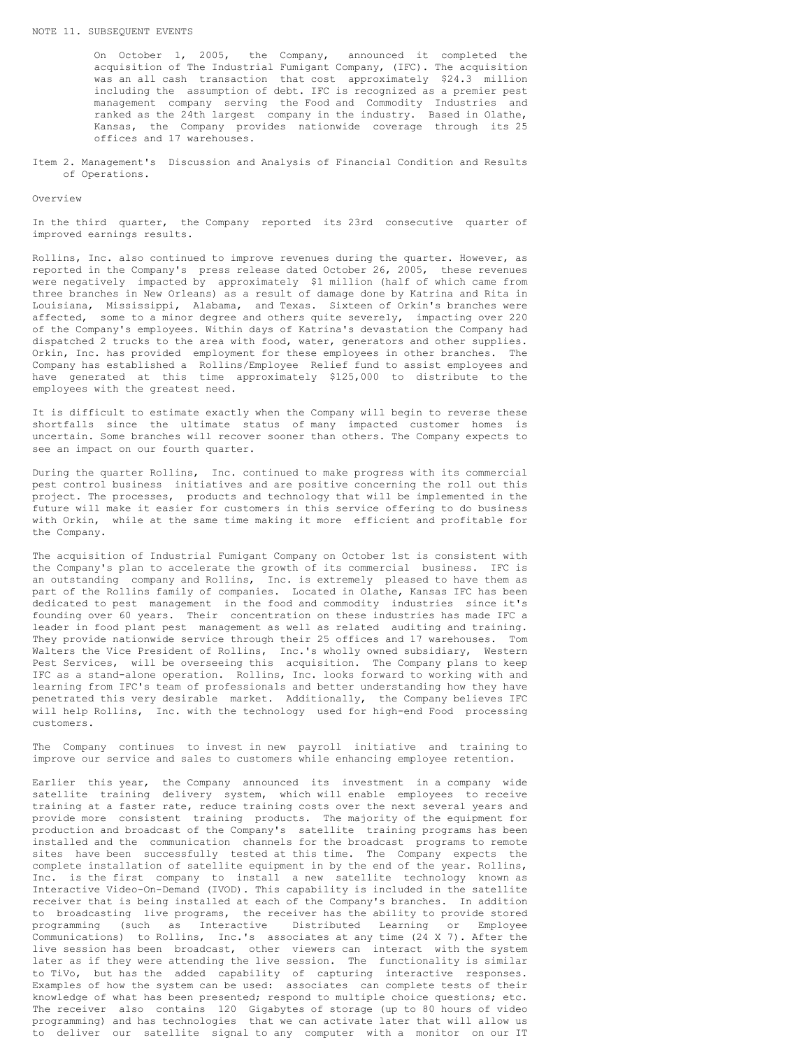On October 1, 2005, the Company, announced it completed the acquisition of The Industrial Fumigant Company, (IFC). The acquisition was an all cash transaction that cost approximately \$24.3 million including the assumption of debt. IFC is recognized as a premier pest management company serving the Food and Commodity Industries and ranked as the 24th largest company in the industry. Based in Olathe, Kansas, the Company provides nationwide coverage through its 25 offices and 17 warehouses.

Item 2. Management's Discussion and Analysis of Financial Condition and Results of Operations.

## Overview

In the third quarter, the Company reported its 23rd consecutive quarter of improved earnings results.

Rollins, Inc. also continued to improve revenues during the quarter. However, as reported in the Company's press release dated October 26, 2005, these revenues were negatively impacted by approximately \$1 million (half of which came from three branches in New Orleans) as a result of damage done by Katrina and Rita in Louisiana, Mississippi, Alabama, and Texas. Sixteen of Orkin's branches were affected, some to a minor degree and others quite severely, impacting over 220 of the Company's employees. Within days of Katrina's devastation the Company had dispatched 2 trucks to the area with food, water, generators and other supplies. Orkin, Inc. has provided employment for these employees in other branches. The Company has established a Rollins/Employee Relief fund to assist employees and have generated at this time approximately \$125,000 to distribute to the employees with the greatest need.

It is difficult to estimate exactly when the Company will begin to reverse these shortfalls since the ultimate status of many impacted customer homes is uncertain. Some branches will recover sooner than others. The Company expects to see an impact on our fourth quarter.

During the quarter Rollins, Inc. continued to make progress with its commercial pest control business initiatives and are positive concerning the roll out this project. The processes, products and technology that will be implemented in the future will make it easier for customers in this service offering to do business with Orkin, while at the same time making it more efficient and profitable for the Company.

The acquisition of Industrial Fumigant Company on October 1st is consistent with the Company's plan to accelerate the growth of its commercial business. IFC is an outstanding company and Rollins, Inc. is extremely pleased to have them as part of the Rollins family of companies. Located in Olathe, Kansas IFC has been dedicated to pest management in the food and commodity industries since it's founding over 60 years. Their concentration on these industries has made IFC a leader in food plant pest management as well as related auditing and training. They provide nationwide service through their 25 offices and 17 warehouses. Tom Walters the Vice President of Rollins, Inc.'s wholly owned subsidiary, Western Pest Services, will be overseeing this acquisition. The Company plans to keep IFC as a stand-alone operation. Rollins, Inc. looks forward to working with and learning from IFC's team of professionals and better understanding how they have penetrated this very desirable market. Additionally, the Company believes IFC will help Rollins, Inc. with the technology used for high-end Food processing customers.

The Company continues to invest in new payroll initiative and training to improve our service and sales to customers while enhancing employee retention.

Earlier this year, the Company announced its investment in a company wide satellite training delivery system, which will enable employees to receive training at a faster rate, reduce training costs over the next several years and provide more consistent training products. The majority of the equipment for production and broadcast of the Company's satellite training programs has been installed and the communication channels for the broadcast programs to remote sites have been successfully tested at this time. The Company expects the complete installation of satellite equipment in by the end of the year. Rollins, Inc. is the first company to install a new satellite technology known as Interactive Video-On-Demand (IVOD). This capability is included in the satellite receiver that is being installed at each of the Company's branches. In addition to broadcasting live programs, the receiver has the ability to provide stored programming (such as Interactive Distributed Learning or Employee Communications) to Rollins, Inc.'s associates at any time (24 X 7). After the live session has been broadcast, other viewers can interact with the system later as if they were attending the live session. The functionality is similar to TiVo, but has the added capability of capturing interactive responses. Examples of how the system can be used: associates can complete tests of their knowledge of what has been presented; respond to multiple choice questions; etc. The receiver also contains 120 Gigabytes of storage (up to 80 hours of video programming) and has technologies that we can activate later that will allow us to deliver our satellite signal to any computer with a monitor on our IT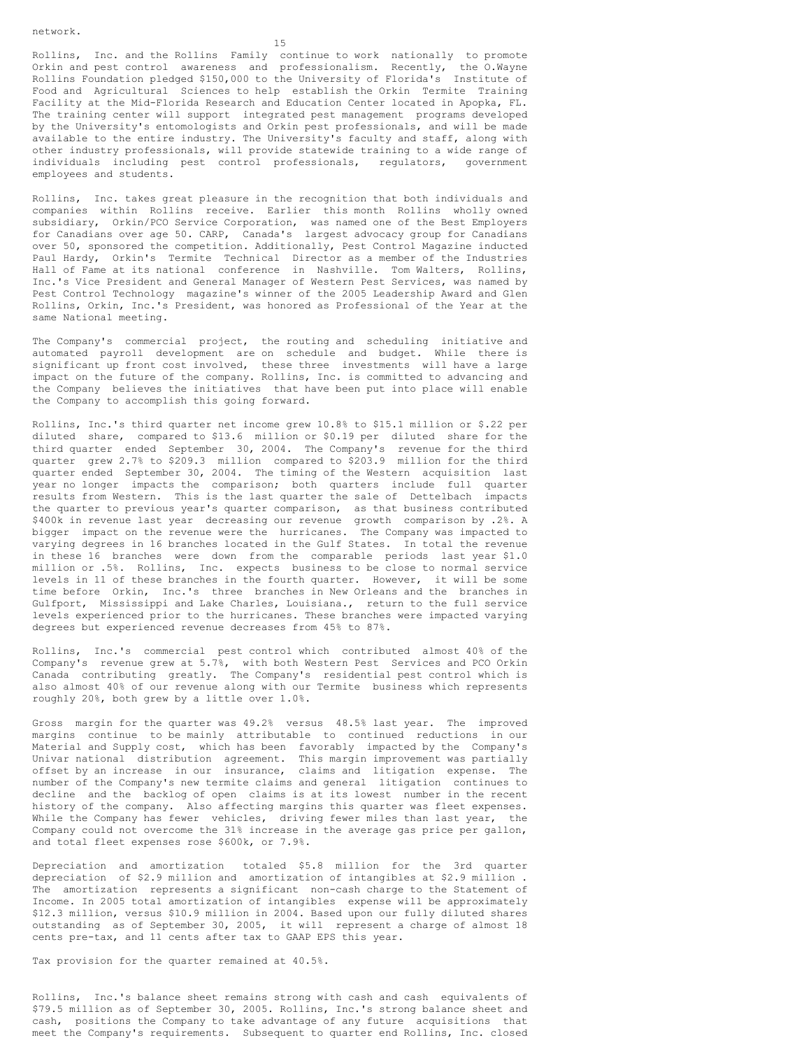15

Rollins, Inc. and the Rollins Family continue to work nationally to promote Orkin and pest control awareness and professionalism. Recently, the O.Wayne Rollins Foundation pledged \$150,000 to the University of Florida's Institute of Food and Agricultural Sciences to help establish the Orkin Termite Training Facility at the Mid-Florida Research and Education Center located in Apopka, FL. The training center will support integrated pest management programs developed by the University's entomologists and Orkin pest professionals, and will be made available to the entire industry. The University's faculty and staff, along with other industry professionals, will provide statewide training to a wide range of individuals including pest control professionals, regulators, government employees and students.

Rollins, Inc. takes great pleasure in the recognition that both individuals and companies within Rollins receive. Earlier this month Rollins wholly owned subsidiary, Orkin/PCO Service Corporation, was named one of the Best Employers for Canadians over age 50. CARP, Canada's largest advocacy group for Canadians over 50, sponsored the competition. Additionally, Pest Control Magazine inducted Paul Hardy, Orkin's Termite Technical Director as a member of the Industries Hall of Fame at its national conference in Nashville. Tom Walters, Rollins, Inc.'s Vice President and General Manager of Western Pest Services, was named by Pest Control Technology magazine's winner of the 2005 Leadership Award and Glen Rollins, Orkin, Inc.'s President, was honored as Professional of the Year at the same National meeting.

The Company's commercial project, the routing and scheduling initiative and automated payroll development are on schedule and budget. While there is significant up front cost involved, these three investments will have a large impact on the future of the company. Rollins, Inc. is committed to advancing and the Company believes the initiatives that have been put into place will enable the Company to accomplish this going forward.

Rollins, Inc.'s third quarter net income grew 10.8% to \$15.1 million or \$.22 per diluted share, compared to \$13.6 million or \$0.19 per diluted share for the third quarter ended September 30, 2004. The Company's revenue for the third quarter grew 2.7% to \$209.3 million compared to \$203.9 million for the third quarter ended September 30, 2004. The timing of the Western acquisition last year no longer impacts the comparison; both quarters include full quarter results from Western. This is the last quarter the sale of Dettelbach impacts the quarter to previous year's quarter comparison, as that business contributed \$400k in revenue last year decreasing our revenue growth comparison by .2%. A bigger impact on the revenue were the hurricanes. The Company was impacted to varying degrees in 16 branches located in the Gulf States. In total the revenue in these 16 branches were down from the comparable periods last year \$1.0 million or .5%. Rollins, Inc. expects business to be close to normal service levels in 11 of these branches in the fourth quarter. However, it will be some time before Orkin, Inc.'s three branches in New Orleans and the branches in Gulfport, Mississippi and Lake Charles, Louisiana., return to the full service levels experienced prior to the hurricanes. These branches were impacted varying degrees but experienced revenue decreases from 45% to 87%.

Rollins, Inc.'s commercial pest control which contributed almost 40% of the Company's revenue grew at 5.7%, with both Western Pest Services and PCO Orkin Canada contributing greatly. The Company's residential pest control which is also almost 40% of our revenue along with our Termite business which represents roughly 20%, both grew by a little over 1.0%.

Gross margin for the quarter was 49.2% versus 48.5% last year. The improved margins continue to be mainly attributable to continued reductions in our Material and Supply cost, which has been favorably impacted by the Company's Univar national distribution agreement. This margin improvement was partially offset by an increase in our insurance, claims and litigation expense. The number of the Company's new termite claims and general litigation continues to decline and the backlog of open claims is at its lowest number in the recent history of the company. Also affecting margins this quarter was fleet expenses. While the Company has fewer vehicles, driving fewer miles than last year, the Company could not overcome the 31% increase in the average gas price per gallon, and total fleet expenses rose \$600k, or 7.9%.

Depreciation and amortization totaled \$5.8 million for the 3rd quarter depreciation of \$2.9 million and amortization of intangibles at \$2.9 million . The amortization represents a significant non-cash charge to the Statement of Income. In 2005 total amortization of intangibles expense will be approximately \$12.3 million, versus \$10.9 million in 2004. Based upon our fully diluted shares outstanding as of September 30, 2005, it will represent a charge of almost 18 cents pre-tax, and 11 cents after tax to GAAP EPS this year.

Tax provision for the quarter remained at 40.5%.

Rollins, Inc.'s balance sheet remains strong with cash and cash equivalents of \$79.5 million as of September 30, 2005. Rollins, Inc.'s strong balance sheet and cash, positions the Company to take advantage of any future acquisitions that meet the Company's requirements. Subsequent to quarter end Rollins, Inc. closed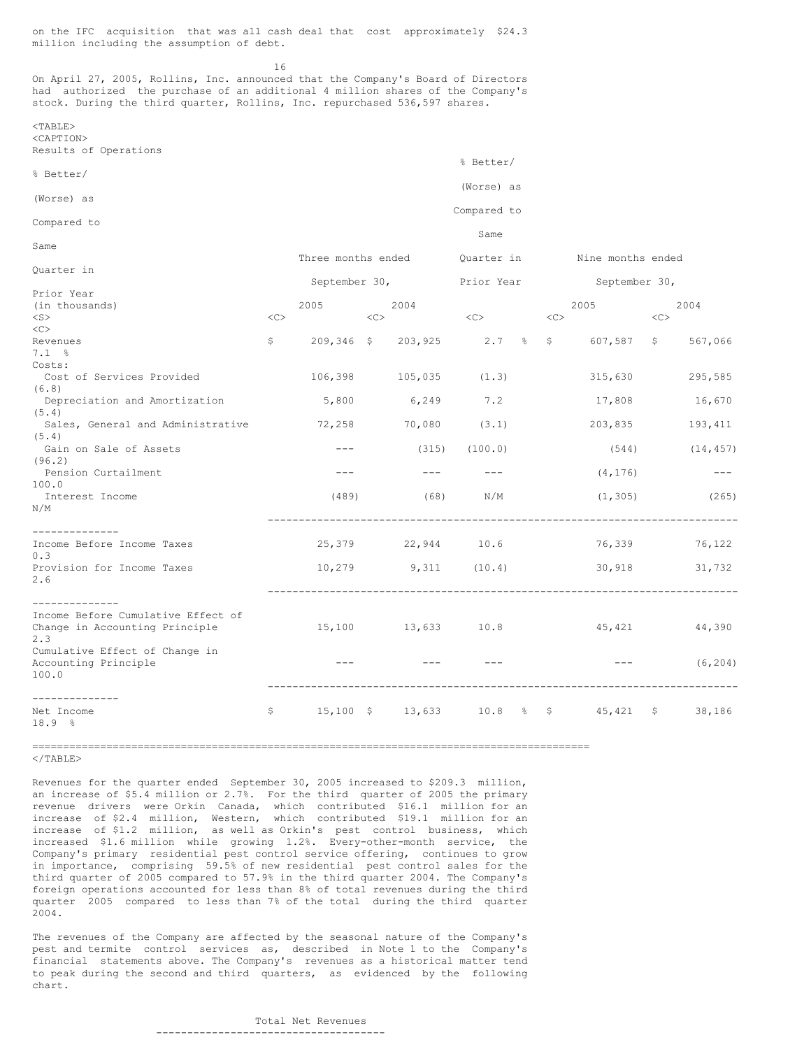on the IFC acquisition that was all cash deal that cost approximately \$24.3 million including the assumption of debt.

16

On April 27, 2005, Rollins, Inc. announced that the Company's Board of Directors had authorized the purchase of an additional 4 million shares of the Company's stock. During the third quarter, Rollins, Inc. repurchased 536,597 shares.

| $<$ TABLE><br><caption></caption>                                           |    |                    |    |                                                                                        |                           |                  |                                                      |    |               |
|-----------------------------------------------------------------------------|----|--------------------|----|----------------------------------------------------------------------------------------|---------------------------|------------------|------------------------------------------------------|----|---------------|
| Results of Operations                                                       |    |                    |    |                                                                                        | % Better/                 |                  |                                                      |    |               |
| % Better/                                                                   |    |                    |    |                                                                                        |                           |                  |                                                      |    |               |
| (Worse) as                                                                  |    |                    |    |                                                                                        | (Worse) as<br>Compared to |                  |                                                      |    |               |
| Compared to                                                                 |    |                    |    |                                                                                        |                           |                  |                                                      |    |               |
| Same                                                                        |    |                    |    |                                                                                        | Same                      |                  |                                                      |    |               |
| Quarter in                                                                  |    | Three months ended |    |                                                                                        |                           |                  | Quarter in Mine months ended                         |    |               |
|                                                                             |    |                    |    | September 30,                                                                          | Prior Year                |                  | September 30,                                        |    |               |
| Prior Year                                                                  |    |                    |    |                                                                                        |                           |                  |                                                      |    |               |
| (in thousands)                                                              |    | 2005               |    | 2004                                                                                   |                           |                  | 2005                                                 |    | 2004          |
| $<$ S $>$                                                                   | << |                    | << |                                                                                        | $\langle C \rangle$       | $<<$ $<$ $<$ $>$ |                                                      | << |               |
| <<                                                                          |    |                    |    |                                                                                        |                           |                  |                                                      |    |               |
| Revenues                                                                    | S  |                    |    |                                                                                        |                           |                  | $209,346$ \$ $203,925$ $2.7$ $\approx$ \$ 607,587 \$ |    | 567,066       |
| 7.1%<br>Costs:                                                              |    |                    |    |                                                                                        |                           |                  |                                                      |    |               |
| Cost of Services Provided                                                   |    |                    |    | $106,398$ $105,035$ $(1.3)$                                                            |                           |                  | 315,630                                              |    | 295,585       |
| (6.8)<br>Depreciation and Amortization                                      |    |                    |    | 5,800 6,249 7.2                                                                        |                           |                  | 17,808                                               |    | 16,670        |
| (5.4)                                                                       |    |                    |    |                                                                                        |                           |                  |                                                      |    |               |
| Sales, General and Administrative 72,258 70,080 (3.1)                       |    |                    |    |                                                                                        |                           |                  | 203,835                                              |    | 193,411       |
| (5.4)<br>Gain on Sale of Assets                                             |    |                    |    |                                                                                        | $(315)$ $(100.0)$         |                  | (544)                                                |    | (14, 457)     |
| (96.2)<br>Pension Curtailment                                               |    | $---$              |    | $- - -$                                                                                | $- - -$                   |                  | (4, 176)                                             |    | $---$         |
| 100.0                                                                       |    |                    |    |                                                                                        |                           |                  |                                                      |    |               |
| Interest Income<br>N/M                                                      |    | (489)              |    | $(68)$ N/M                                                                             |                           |                  | (1, 305)                                             |    | (265)         |
| ______________                                                              |    |                    |    |                                                                                        |                           |                  |                                                      |    |               |
| Income Before Income Taxes<br>0.3                                           |    |                    |    | 25,379 22,944 10.6                                                                     |                           |                  |                                                      |    | 76,339 76,122 |
| Provision for Income Taxes<br>2.6                                           |    |                    |    | $10,279$ 9,311 (10.4)                                                                  |                           |                  |                                                      |    | 30,918 31,732 |
|                                                                             |    |                    |    |                                                                                        |                           |                  |                                                      |    |               |
| Income Before Cumulative Effect of<br>Change in Accounting Principle<br>2.3 |    |                    |    |                                                                                        |                           |                  | $15,100$ $13,633$ $10.8$ $45,421$                    |    | 44,390        |
| Cumulative Effect of Change in<br>Accounting Principle<br>100.0             |    | $- - -$            |    | $- - -$                                                                                | $- - -$                   |                  | $- - -$                                              |    | (6, 204)      |
|                                                                             |    |                    |    |                                                                                        |                           |                  |                                                      |    |               |
| Net Income<br>18.9%                                                         | \$ |                    |    | $15,100 \quad \frac{1}{5} \quad 13,633 \quad 10.8 \quad \frac{1}{5} \quad \frac{1}{5}$ |                           |                  | $45,421$ \$                                          |    | 38,186        |

</TABLE>

Revenues for the quarter ended September 30, 2005 increased to \$209.3 million, an increase of \$5.4 million or 2.7%. For the third quarter of 2005 the primary revenue drivers were Orkin Canada, which contributed \$16.1 million for an increase of \$2.4 million, Western, which contributed \$19.1 million for an increase of \$1.2 million, as well as Orkin's pest control business, which increased \$1.6 million while growing 1.2%. Every-other-month service, the Company's primary residential pest control service offering, continues to grow in importance, comprising 59.5% of new residential pest control sales for the third quarter of 2005 compared to 57.9% in the third quarter 2004. The Company's foreign operations accounted for less than 8% of total revenues during the third quarter 2005 compared to less than 7% of the total during the third quarter 2004.

==========================================================================================

The revenues of the Company are affected by the seasonal nature of the Company's pest and termite control services as, described in Note 1 to the Company's financial statements above. The Company's revenues as a historical matter tend to peak during the second and third quarters, as evidenced by the following chart.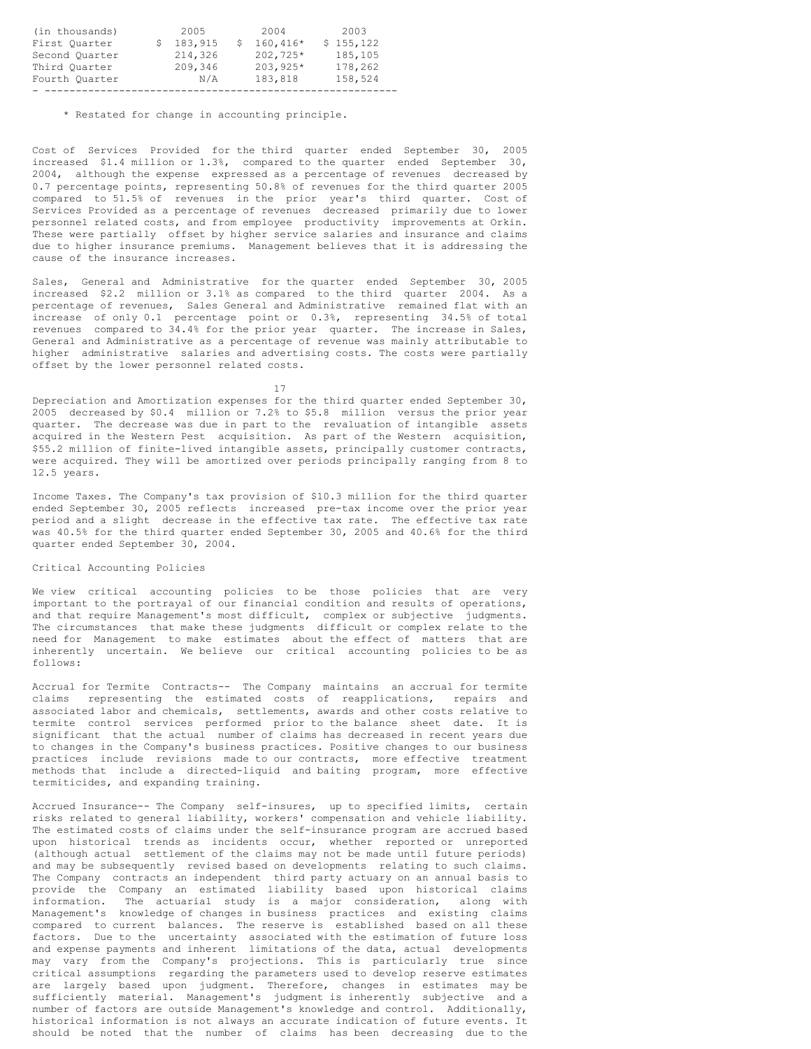| (in thousands) | 2005    | 2004       | 2003      |  |
|----------------|---------|------------|-----------|--|
| First Ouarter  | 183,915 | $160.416*$ | \$155.122 |  |
| Second Ouarter | 214,326 | 202.725*   | 185,105   |  |
| Third Quarter  | 209,346 | 203.925*   | 178,262   |  |
| Fourth Ouarter | N/A     | 183,818    | 158,524   |  |
|                |         |            |           |  |

\* Restated for change in accounting principle.

Cost of Services Provided for the third quarter ended September 30, 2005 increased \$1.4 million or 1.3%, compared to the quarter ended September 30, 2004, although the expense expressed as a percentage of revenues decreased by 0.7 percentage points, representing 50.8% of revenues for the third quarter 2005 compared to 51.5% of revenues in the prior year's third quarter. Cost of Services Provided as a percentage of revenues decreased primarily due to lower personnel related costs, and from employee productivity improvements at Orkin. These were partially offset by higher service salaries and insurance and claims due to higher insurance premiums. Management believes that it is addressing the cause of the insurance increases.

Sales, General and Administrative for the quarter ended September 30, 2005 increased \$2.2 million or 3.1% as compared to the third quarter 2004. As a percentage of revenues, Sales General and Administrative remained flat with an increase of only 0.1 percentage point or 0.3%, representing 34.5% of total revenues compared to 34.4% for the prior year quarter. The increase in Sales, General and Administrative as a percentage of revenue was mainly attributable to higher administrative salaries and advertising costs. The costs were partially offset by the lower personnel related costs.

17

Depreciation and Amortization expenses for the third quarter ended September 30, 2005 decreased by \$0.4 million or 7.2% to \$5.8 million versus the prior year quarter. The decrease was due in part to the revaluation of intangible assets acquired in the Western Pest acquisition. As part of the Western acquisition, \$55.2 million of finite-lived intangible assets, principally customer contracts, were acquired. They will be amortized over periods principally ranging from 8 to 12.5 years.

Income Taxes. The Company's tax provision of \$10.3 million for the third quarter ended September 30, 2005 reflects increased pre-tax income over the prior year period and a slight decrease in the effective tax rate. The effective tax rate was 40.5% for the third quarter ended September 30, 2005 and 40.6% for the third quarter ended September 30, 2004.

# Critical Accounting Policies

We view critical accounting policies to be those policies that are very important to the portrayal of our financial condition and results of operations, and that require Management's most difficult, complex or subjective judgments. The circumstances that make these judgments difficult or complex relate to the need for Management to make estimates about the effect of matters that are inherently uncertain. We believe our critical accounting policies to be as follows:

Accrual for Termite Contracts-- The Company maintains an accrual for termite claims representing the estimated costs of reapplications, repairs and associated labor and chemicals, settlements, awards and other costs relative to termite control services performed prior to the balance sheet date. It is significant that the actual number of claims has decreased in recent years due to changes in the Company's business practices. Positive changes to our business practices include revisions made to our contracts, more effective treatment methods that include a directed-liquid and baiting program, more effective termiticides, and expanding training.

Accrued Insurance-- The Company self-insures, up to specified limits, certain risks related to general liability, workers' compensation and vehicle liability. The estimated costs of claims under the self-insurance program are accrued based upon historical trends as incidents occur, whether reported or unreported (although actual settlement of the claims may not be made until future periods) and may be subsequently revised based on developments relating to such claims. The Company contracts an independent third party actuary on an annual basis to provide the Company an estimated liability based upon historical claims<br>information. The actuarial study is a major consideration, along with The actuarial study is a major consideration, along with Management's knowledge of changes in business practices and existing claims compared to current balances. The reserve is established based on all these factors. Due to the uncertainty associated with the estimation of future loss and expense payments and inherent limitations of the data, actual developments may vary from the Company's projections. This is particularly true since critical assumptions regarding the parameters used to develop reserve estimates are largely based upon judgment. Therefore, changes in estimates may be sufficiently material. Management's judgment is inherently subjective and a number of factors are outside Management's knowledge and control. Additionally, historical information is not always an accurate indication of future events. It should be noted that the number of claims has been decreasing due to the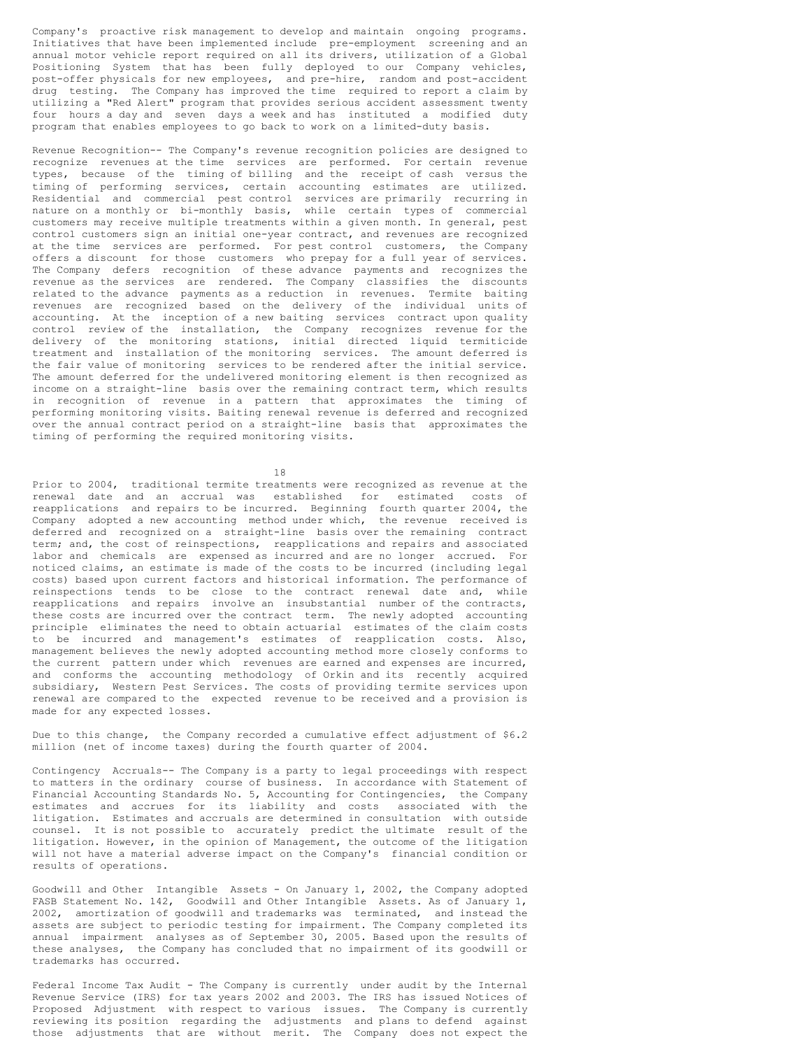Company's proactive risk management to develop and maintain ongoing programs. Initiatives that have been implemented include pre-employment screening and an annual motor vehicle report required on all its drivers, utilization of a Global Positioning System that has been fully deployed to our Company vehicles, post-offer physicals for new employees, and pre-hire, random and post-accident drug testing. The Company has improved the time required to report a claim by utilizing a "Red Alert" program that provides serious accident assessment twenty four hours a day and seven days a week and has instituted a modified duty program that enables employees to go back to work on a limited-duty basis.

Revenue Recognition-- The Company's revenue recognition policies are designed to recognize revenues at the time services are performed. For certain revenue types, because of the timing of billing and the receipt of cash versus the timing of performing services, certain accounting estimates are utilized. Residential and commercial pest control services are primarily recurring in nature on a monthly or bi-monthly basis, while certain types of commercial customers may receive multiple treatments within a given month. In general, pest control customers sign an initial one-year contract, and revenues are recognized at the time services are performed. For pest control customers, the Company offers a discount for those customers who prepay for a full year of services. The Company defers recognition of these advance payments and recognizes the revenue as the services are rendered. The Company classifies the discounts related to the advance payments as a reduction in revenues. Termite baiting revenues are recognized based on the delivery of the individual units of accounting. At the inception of a new baiting services contract upon quality control review of the installation, the Company recognizes revenue for the delivery of the monitoring stations, initial directed liquid termiticide treatment and installation of the monitoring services. The amount deferred is the fair value of monitoring services to be rendered after the initial service. The amount deferred for the undelivered monitoring element is then recognized as income on a straight-line basis over the remaining contract term, which results in recognition of revenue in a pattern that approximates the timing of performing monitoring visits. Baiting renewal revenue is deferred and recognized over the annual contract period on a straight-line basis that approximates the timing of performing the required monitoring visits.

18

Prior to 2004, traditional termite treatments were recognized as revenue at the renewal date and an accrual was established for estimated costs of reapplications and repairs to be incurred. Beginning fourth quarter 2004, the Company adopted a new accounting method under which, the revenue received is deferred and recognized on a straight-line basis over the remaining contract term; and, the cost of reinspections, reapplications and repairs and associated labor and chemicals are expensed as incurred and are no longer accrued. For noticed claims, an estimate is made of the costs to be incurred (including legal costs) based upon current factors and historical information. The performance of reinspections tends to be close to the contract renewal date and, while reapplications and repairs involve an insubstantial number of the contracts, these costs are incurred over the contract term. The newly adopted accounting principle eliminates the need to obtain actuarial estimates of the claim costs to be incurred and management's estimates of reapplication costs. Also, management believes the newly adopted accounting method more closely conforms to the current pattern under which revenues are earned and expenses are incurred, and conforms the accounting methodology of Orkin and its recently acquired subsidiary, Western Pest Services. The costs of providing termite services upon renewal are compared to the expected revenue to be received and a provision is made for any expected losses.

Due to this change, the Company recorded a cumulative effect adjustment of \$6.2 million (net of income taxes) during the fourth quarter of 2004.

Contingency Accruals-- The Company is a party to legal proceedings with respect to matters in the ordinary course of business. In accordance with Statement of Financial Accounting Standards No. 5, Accounting for Contingencies, the Company estimates and accrues for its liability and costs associated with the litigation. Estimates and accruals are determined in consultation with outside counsel. It is not possible to accurately predict the ultimate result of the litigation. However, in the opinion of Management, the outcome of the litigation will not have a material adverse impact on the Company's financial condition or results of operations.

Goodwill and Other Intangible Assets - On January 1, 2002, the Company adopted FASB Statement No. 142, Goodwill and Other Intangible Assets. As of January 1, 2002, amortization of goodwill and trademarks was terminated, and instead the assets are subject to periodic testing for impairment. The Company completed its annual impairment analyses as of September 30, 2005. Based upon the results of these analyses, the Company has concluded that no impairment of its goodwill or trademarks has occurred.

Federal Income Tax Audit - The Company is currently under audit by the Internal Revenue Service (IRS) for tax years 2002 and 2003. The IRS has issued Notices of Proposed Adjustment with respect to various issues. The Company is currently reviewing its position regarding the adjustments and plans to defend against those adjustments that are without merit. The Company does not expect the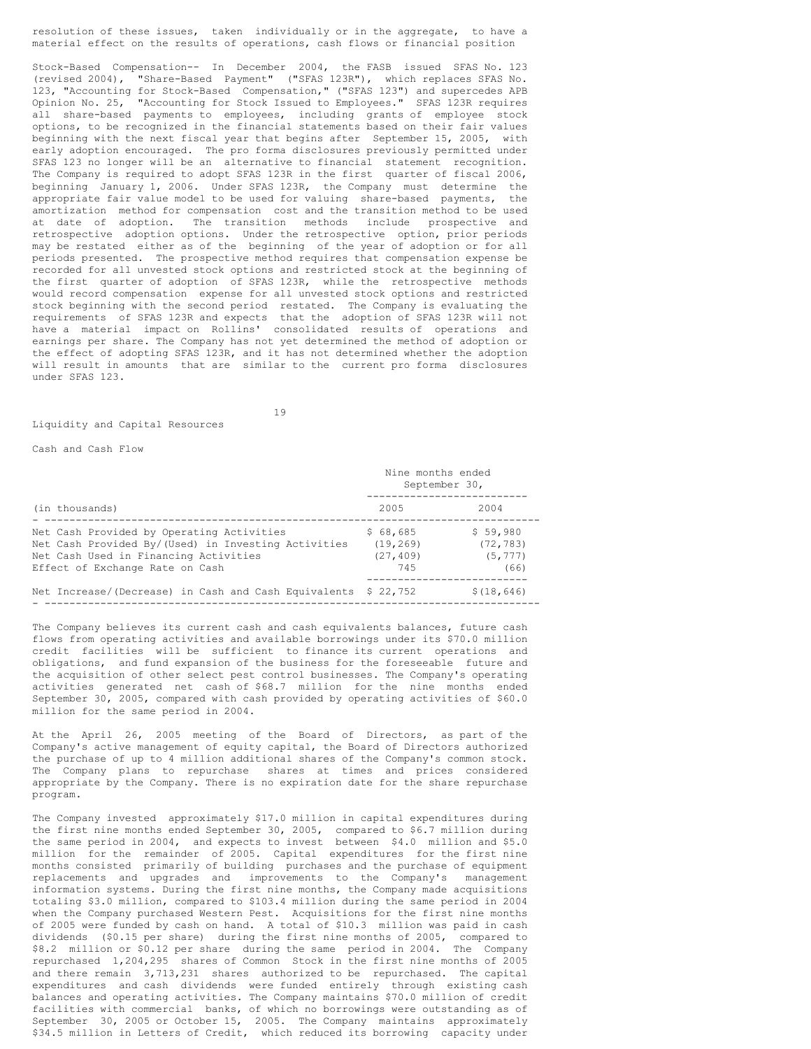resolution of these issues, taken individually or in the aggregate, to have a material effect on the results of operations, cash flows or financial position

Stock-Based Compensation-- In December 2004, the FASB issued SFAS No. 123 (revised 2004), "Share-Based Payment" ("SFAS 123R"), which replaces SFAS No. 123, "Accounting for Stock-Based Compensation," ("SFAS 123") and supercedes APB Opinion No. 25, "Accounting for Stock Issued to Employees." SFAS 123R requires all share-based payments to employees, including grants of employee stock options, to be recognized in the financial statements based on their fair values beginning with the next fiscal year that begins after September 15, 2005, with early adoption encouraged. The pro forma disclosures previously permitted under SFAS 123 no longer will be an alternative to financial statement recognition. The Company is required to adopt SFAS 123R in the first quarter of fiscal 2006, beginning January 1, 2006. Under SFAS 123R, the Company must determine the appropriate fair value model to be used for valuing share-based payments, the amortization method for compensation cost and the transition method to be used at date of adoption. The transition methods include prospective and retrospective adoption options. Under the retrospective option, prior periods may be restated either as of the beginning of the year of adoption or for all periods presented. The prospective method requires that compensation expense be recorded for all unvested stock options and restricted stock at the beginning of the first quarter of adoption of SFAS 123R, while the retrospective methods would record compensation expense for all unvested stock options and restricted stock beginning with the second period restated. The Company is evaluating the requirements of SFAS 123R and expects that the adoption of SFAS 123R will not have a material impact on Rollins' consolidated results of operations and earnings per share. The Company has not yet determined the method of adoption or the effect of adopting SFAS 123R, and it has not determined whether the adoption will result in amounts that are similar to the current pro forma disclosures under SFAS 123.

## Liquidity and Capital Resources

Cash and Cash Flow

|                                                                                                                                                                              | Nine months ended<br>September 30,        |                                           |  |  |  |  |
|------------------------------------------------------------------------------------------------------------------------------------------------------------------------------|-------------------------------------------|-------------------------------------------|--|--|--|--|
| (in thousands)                                                                                                                                                               | 2005                                      | 2004                                      |  |  |  |  |
| Net Cash Provided by Operating Activities<br>Net Cash Provided By/(Used) in Investing Activities<br>Net Cash Used in Financing Activities<br>Effect of Exchange Rate on Cash | \$68,685<br>(19, 269)<br>(27, 409)<br>745 | \$59,980<br>(72, 783)<br>(5, 777)<br>(66) |  |  |  |  |
| Net Increase/(Decrease) in Cash and Cash Equivalents $$22,752$                                                                                                               |                                           | \$(18, 646)                               |  |  |  |  |

19

The Company believes its current cash and cash equivalents balances, future cash flows from operating activities and available borrowings under its \$70.0 million credit facilities will be sufficient to finance its current operations and obligations, and fund expansion of the business for the foreseeable future and the acquisition of other select pest control businesses. The Company's operating activities generated net cash of \$68.7 million for the nine months ended September 30, 2005, compared with cash provided by operating activities of \$60.0 million for the same period in 2004.

At the April 26, 2005 meeting of the Board of Directors, as part of the Company's active management of equity capital, the Board of Directors authorized the purchase of up to 4 million additional shares of the Company's common stock. The Company plans to repurchase shares at times and prices considered appropriate by the Company. There is no expiration date for the share repurchase program.

The Company invested approximately \$17.0 million in capital expenditures during the first nine months ended September 30, 2005, compared to \$6.7 million during the same period in 2004, and expects to invest between \$4.0 million and \$5.0 million for the remainder of 2005. Capital expenditures for the first nine months consisted primarily of building purchases and the purchase of equipment replacements and upgrades and improvements to the Company's management information systems. During the first nine months, the Company made acquisitions totaling \$3.0 million, compared to \$103.4 million during the same period in 2004 when the Company purchased Western Pest. Acquisitions for the first nine months of 2005 were funded by cash on hand. A total of \$10.3 million was paid in cash dividends (\$0.15 per share) during the first nine months of 2005, compared to \$8.2 million or \$0.12 per share during the same period in 2004. The Company repurchased 1,204,295 shares of Common Stock in the first nine months of 2005 and there remain 3,713,231 shares authorized to be repurchased. The capital expenditures and cash dividends were funded entirely through existing cash balances and operating activities. The Company maintains \$70.0 million of credit facilities with commercial banks, of which no borrowings were outstanding as of September 30, 2005 or October 15, 2005. The Company maintains approximately \$34.5 million in Letters of Credit, which reduced its borrowing capacity under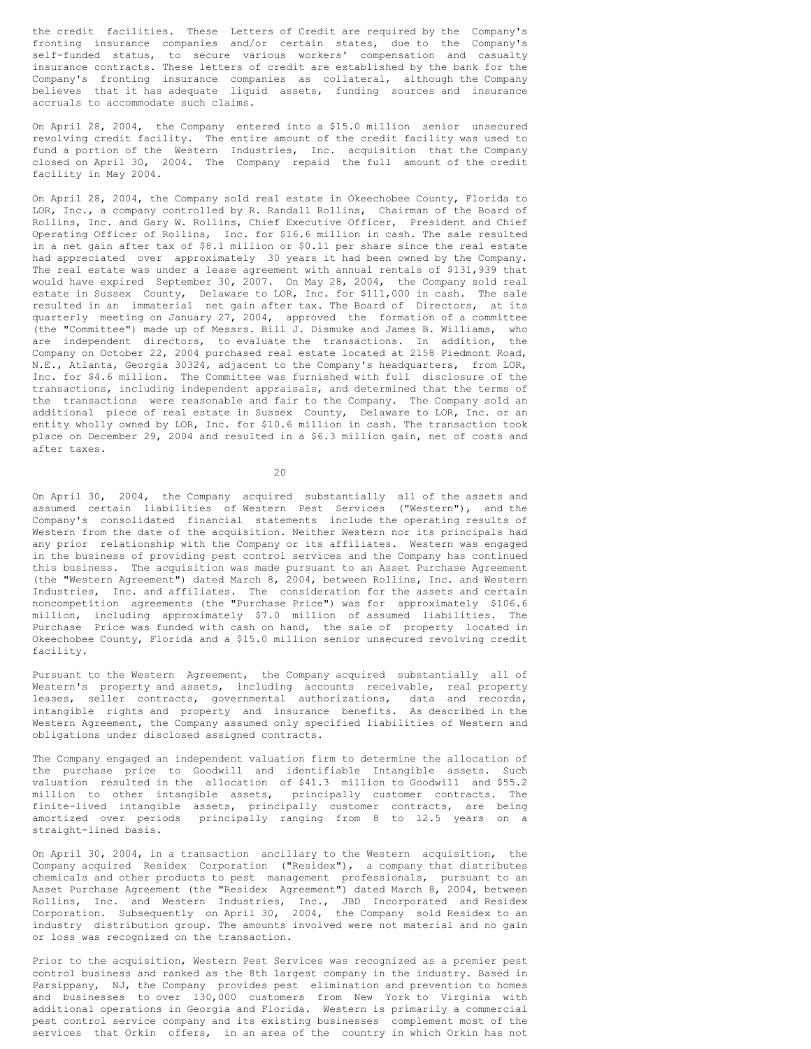the credit facilities. These Letters of Credit are required by the Company's fronting insurance companies and/or certain states, due to the Company's self-funded status, to secure various workers' compensation and casualty insurance contracts. These letters of credit are established by the bank for the Company's fronting insurance companies as collateral, although the Company believes that it has adequate liquid assets, funding sources and insurance accruals to accommodate such claims.

On April 28, 2004, the Company entered into a \$15.0 million senior unsecured revolving credit facility. The entire amount of the credit facility was used to fund a portion of the Western Industries, Inc. acquisition that the Company closed on April 30, 2004. The Company repaid the full amount of the credit facility in May 2004.

On April 28, 2004, the Company sold real estate in Okeechobee County, Florida to LOR, Inc., a company controlled by R. Randall Rollins, Chairman of the Board of Rollins, Inc. and Gary W. Rollins, Chief Executive Officer, President and Chief Operating Officer of Rollins, Inc. for \$16.6 million in cash. The sale resulted in a net gain after tax of \$8.1 million or \$0.11 per share since the real estate had appreciated over approximately 30 years it had been owned by the Company. The real estate was under a lease agreement with annual rentals of \$131,939 that would have expired September 30, 2007. On May 28, 2004, the Company sold real estate in Sussex County, Delaware to LOR, Inc. for \$111,000 in cash. The sale resulted in an immaterial net gain after tax. The Board of Directors, at its quarterly meeting on January 27, 2004, approved the formation of a committee (the "Committee") made up of Messrs. Bill J. Dismuke and James B. Williams, who are independent directors, to evaluate the transactions. In addition, the Company on October 22, 2004 purchased real estate located at 2158 Piedmont Road, N.E., Atlanta, Georgia 30324, adjacent to the Company's headquarters, from LOR, Inc. for \$4.6 million. The Committee was furnished with full disclosure of the transactions, including independent appraisals, and determined that the terms of the transactions were reasonable and fair to the Company. The Company sold an additional piece of real estate in Sussex County, Delaware to LOR, Inc. or an entity wholly owned by LOR, Inc. for \$10.6 million in cash. The transaction took place on December 29, 2004 and resulted in a \$6.3 million gain, net of costs and after taxes.

 $20$ 

On April 30, 2004, the Company acquired substantially all of the assets and assumed certain liabilities of Western Pest Services ("Western"), and the Company's consolidated financial statements include the operating results of Western from the date of the acquisition. Neither Western nor its principals had any prior relationship with the Company or its affiliates. Western was engaged in the business of providing pest control services and the Company has continued this business. The acquisition was made pursuant to an Asset Purchase Agreement (the "Western Agreement") dated March 8, 2004, between Rollins, Inc. and Western Industries, Inc. and affiliates. The consideration for the assets and certain noncompetition agreements (the "Purchase Price") was for approximately \$106.6 million, including approximately \$7.0 million of assumed liabilities. The Purchase Price was funded with cash on hand, the sale of property located in Okeechobee County, Florida and a \$15.0 million senior unsecured revolving credit facility.

Pursuant to the Western Agreement, the Company acquired substantially all of Western's property and assets, including accounts receivable, real property leases, seller contracts, governmental authorizations, data and records, intangible rights and property and insurance benefits. As described in the Western Agreement, the Company assumed only specified liabilities of Western and obligations under disclosed assigned contracts.

The Company engaged an independent valuation firm to determine the allocation of the purchase price to Goodwill and identifiable Intangible assets. Such valuation resulted in the allocation of \$41.3 million to Goodwill and \$55.2 million to other intangible assets, principally customer contracts. The finite-lived intangible assets, principally customer contracts, are being amortized over periods principally ranging from 8 to 12.5 years on a straight-lined basis.

On April 30, 2004, in a transaction ancillary to the Western acquisition, the Company acquired Residex Corporation ("Residex"), a company that distributes chemicals and other products to pest management professionals, pursuant to an Asset Purchase Agreement (the "Residex Agreement") dated March 8, 2004, between Rollins, Inc. and Western Industries, Inc., JBD Incorporated and Residex Corporation. Subsequently on April 30, 2004, the Company sold Residex to an industry distribution group. The amounts involved were not material and no gain or loss was recognized on the transaction.

Prior to the acquisition, Western Pest Services was recognized as a premier pest control business and ranked as the 8th largest company in the industry. Based in Parsippany, NJ, the Company provides pest elimination and prevention to homes and businesses to over 130,000 customers from New York to Virginia with additional operations in Georgia and Florida. Western is primarily a commercial pest control service company and its existing businesses complement most of the services that Orkin offers, in an area of the country in which Orkin has not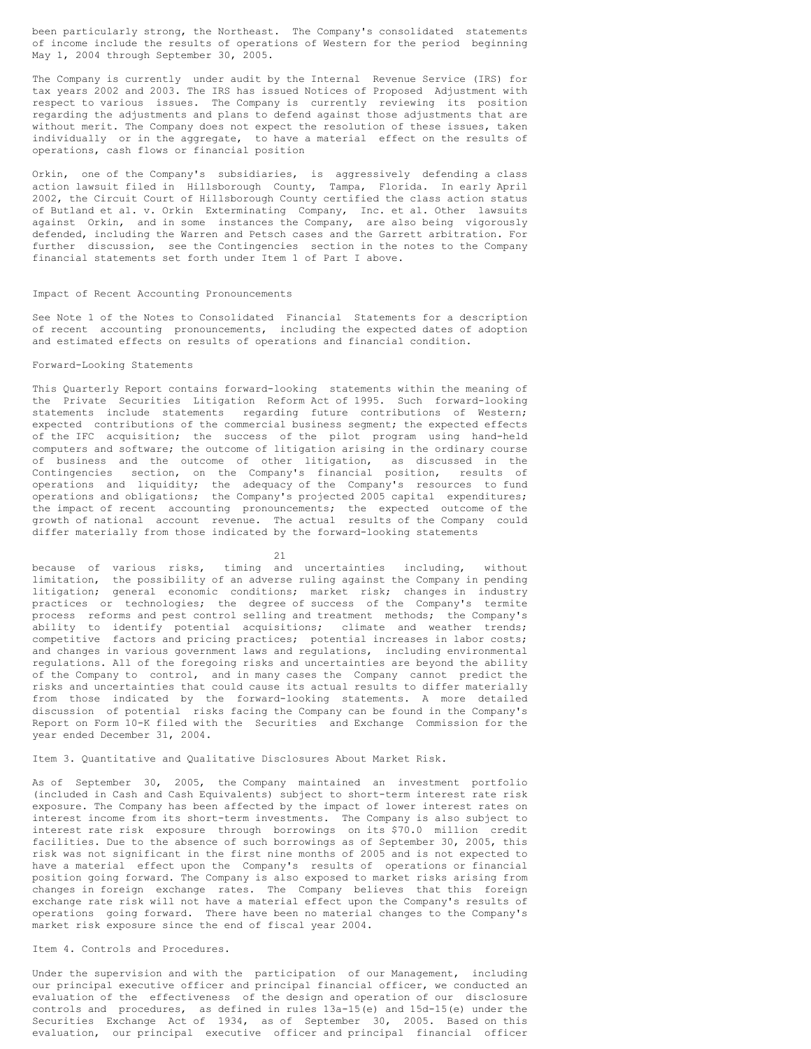been particularly strong, the Northeast. The Company's consolidated statements of income include the results of operations of Western for the period beginning May 1, 2004 through September 30, 2005.

The Company is currently under audit by the Internal Revenue Service (IRS) for tax years 2002 and 2003. The IRS has issued Notices of Proposed Adjustment with respect to various issues. The Company is currently reviewing its position regarding the adjustments and plans to defend against those adjustments that are without merit. The Company does not expect the resolution of these issues, taken individually or in the aggregate, to have a material effect on the results of operations, cash flows or financial position

Orkin, one of the Company's subsidiaries, is aggressively defending a class action lawsuit filed in Hillsborough County, Tampa, Florida. In early April 2002, the Circuit Court of Hillsborough County certified the class action status of Butland et al. v. Orkin Exterminating Company, Inc. et al. Other lawsuits against Orkin, and in some instances the Company, are also being vigorously defended, including the Warren and Petsch cases and the Garrett arbitration. For further discussion, see the Contingencies section in the notes to the Company financial statements set forth under Item 1 of Part I above.

## Impact of Recent Accounting Pronouncements

See Note 1 of the Notes to Consolidated Financial Statements for a description of recent accounting pronouncements, including the expected dates of adoption and estimated effects on results of operations and financial condition.

#### Forward-Looking Statements

This Quarterly Report contains forward-looking statements within the meaning of the Private Securities Litigation Reform Act of 1995. Such forward-looking statements include statements regarding future contributions of Western; expected contributions of the commercial business segment; the expected effects of the IFC acquisition; the success of the pilot program using hand-held computers and software; the outcome of litigation arising in the ordinary course of business and the outcome of other litigation, as discussed in the Contingencies section, on the Company's financial position, results of operations and liquidity; the adequacy of the Company's resources to fund operations and obligations; the Company's projected 2005 capital expenditures; the impact of recent accounting pronouncements; the expected outcome of the growth of national account revenue. The actual results of the Company could differ materially from those indicated by the forward-looking statements

21

because of various risks, timing and uncertainties including, without limitation, the possibility of an adverse ruling against the Company in pending litigation; general economic conditions; market risk; changes in industry practices or technologies; the degree of success of the Company's termite process reforms and pest control selling and treatment methods; the Company's ability to identify potential acquisitions; climate and weather trends; competitive factors and pricing practices; potential increases in labor costs; and changes in various government laws and regulations, including environmental regulations. All of the foregoing risks and uncertainties are beyond the ability of the Company to control, and in many cases the Company cannot predict the risks and uncertainties that could cause its actual results to differ materially from those indicated by the forward-looking statements. A more detailed discussion of potential risks facing the Company can be found in the Company's Report on Form 10-K filed with the Securities and Exchange Commission for the year ended December 31, 2004.

# Item 3. Quantitative and Qualitative Disclosures About Market Risk.

As of September 30, 2005, the Company maintained an investment portfolio (included in Cash and Cash Equivalents) subject to short-term interest rate risk exposure. The Company has been affected by the impact of lower interest rates on interest income from its short-term investments. The Company is also subject to interest rate risk exposure through borrowings on its \$70.0 million credit facilities. Due to the absence of such borrowings as of September 30, 2005, this risk was not significant in the first nine months of 2005 and is not expected to have a material effect upon the Company's results of operations or financial position going forward. The Company is also exposed to market risks arising from changes in foreign exchange rates. The Company believes that this foreign exchange rate risk will not have a material effect upon the Company's results of operations going forward. There have been no material changes to the Company's market risk exposure since the end of fiscal year 2004.

#### Item 4. Controls and Procedures.

Under the supervision and with the participation of our Management, including our principal executive officer and principal financial officer, we conducted an evaluation of the effectiveness of the design and operation of our disclosure controls and procedures, as defined in rules 13a-15(e) and 15d-15(e) under the Securities Exchange Act of 1934, as of September 30, 2005. Based on this evaluation, our principal executive officer and principal financial officer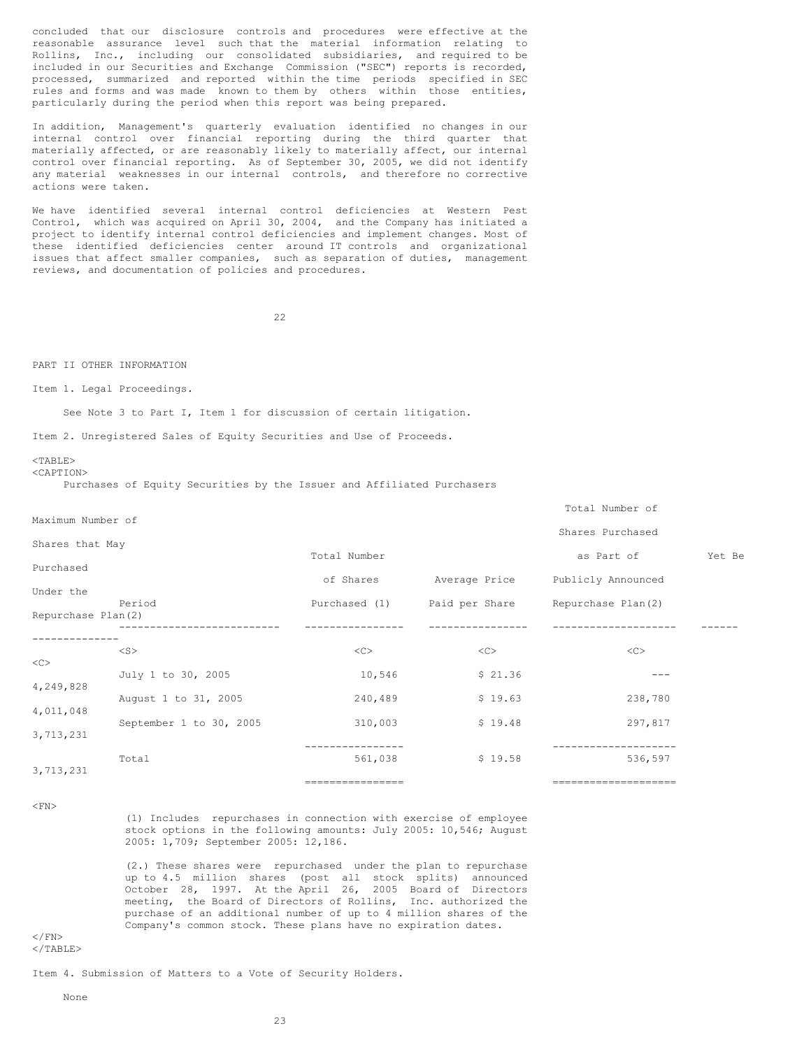concluded that our disclosure controls and procedures were effective at the reasonable assurance level such that the material information relating to Rollins, Inc., including our consolidated subsidiaries, and required to be included in our Securities and Exchange Commission ("SEC") reports is recorded, processed, summarized and reported within the time periods specified in SEC rules and forms and was made known to them by others within those entities, particularly during the period when this report was being prepared.

In addition, Management's quarterly evaluation identified no changes in our internal control over financial reporting during the third quarter that materially affected, or are reasonably likely to materially affect, our internal control over financial reporting. As of September 30, 2005, we did not identify any material weaknesses in our internal controls, and therefore no corrective actions were taken.

We have identified several internal control deficiencies at Western Pest Control, which was acquired on April 30, 2004, and the Company has initiated a project to identify internal control deficiencies and implement changes. Most of these identified deficiencies center around IT controls and organizational issues that affect smaller companies, such as separation of duties, management reviews, and documentation of policies and procedures.

22

PART II OTHER INFORMATION

Item 1. Legal Proceedings.

See Note 3 to Part I, Item 1 for discussion of certain litigation.

Item 2. Unregistered Sales of Equity Securities and Use of Proceeds.

 $<$ TABLE>

<CAPTION>

Purchases of Equity Securities by the Issuer and Affiliated Purchasers

| Maximum Number of  |                         |                              |               | Total Number of    |        |
|--------------------|-------------------------|------------------------------|---------------|--------------------|--------|
|                    |                         |                              |               | Shares Purchased   |        |
| Shares that May    |                         | Total Number                 |               | as Part of         | Yet Be |
| Purchased          |                         |                              |               |                    |        |
| Under the          |                         | of Shares                    | Average Price | Publicly Announced |        |
| Repurchase Plan(2) | Period                  | Purchased (1) Paid per Share |               | Repurchase Plan(2) |        |
|                    |                         |                              |               |                    |        |
|                    | $<$ S $>$               | <<                           | <<            | <<                 |        |
| <<                 | July 1 to 30, 2005      | 10,546                       | \$21.36       |                    |        |
| 4,249,828          | August 1 to 31, 2005    | 240,489                      | \$19.63       | 238,780            |        |
| 4,011,048          |                         |                              |               |                    |        |
| 3,713,231          | September 1 to 30, 2005 | 310,003                      | \$19.48       | 297,817            |        |
|                    | Total                   |                              | \$19.58       | 536,597            |        |
| 3,713,231          |                         | 561,038                      |               |                    |        |
|                    |                         | =============                |               |                    |        |

 $<$ FN $>$ 

(1) Includes repurchases in connection with exercise of employee stock options in the following amounts: July 2005: 10,546; August 2005: 1,709; September 2005: 12,186.

(2.) These shares were repurchased under the plan to repurchase up to 4.5 million shares (post all stock splits) announced October 28, 1997. At the April 26, 2005 Board of Directors meeting, the Board of Directors of Rollins, Inc. authorized the purchase of an additional number of up to 4 million shares of the Company's common stock. These plans have no expiration dates.

 $\langle$ /FN $>$  $\langle$ /TABLE>

Item 4. Submission of Matters to a Vote of Security Holders.

None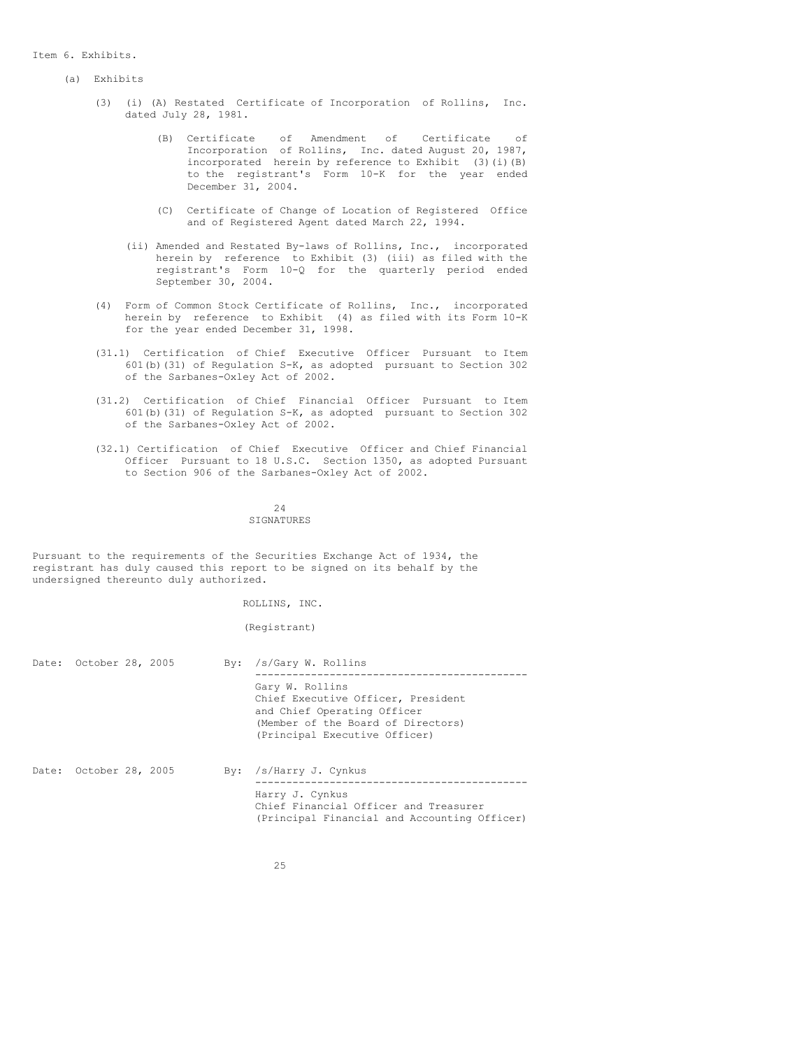#### Item 6. Exhibits.

(a) Exhibits

- (3) (i) (A) Restated Certificate of Incorporation of Rollins, Inc. dated July 28, 1981.
	- (B) Certificate of Amendment of Certificate of Incorporation of Rollins, Inc. dated August 20, 1987, incorporated herein by reference to Exhibit (3)(i)(B) to the registrant's Form 10-K for the year ended December 31, 2004.
	- (C) Certificate of Change of Location of Registered Office and of Registered Agent dated March 22, 1994.
	- (ii) Amended and Restated By-laws of Rollins, Inc., incorporated herein by reference to Exhibit (3) (iii) as filed with the registrant's Form 10-Q for the quarterly period ended September 30, 2004.
- (4) Form of Common Stock Certificate of Rollins, Inc., incorporated herein by reference to Exhibit (4) as filed with its Form 10-K for the year ended December 31, 1998.
- (31.1) Certification of Chief Executive Officer Pursuant to Item 601(b)(31) of Regulation S-K, as adopted pursuant to Section 302 of the Sarbanes-Oxley Act of 2002.
- (31.2) Certification of Chief Financial Officer Pursuant to Item 601(b)(31) of Regulation S-K, as adopted pursuant to Section 302 of the Sarbanes-Oxley Act of 2002.
- (32.1) Certification of Chief Executive Officer and Chief Financial Officer Pursuant to 18 U.S.C. Section 1350, as adopted Pursuant to Section 906 of the Sarbanes-Oxley Act of 2002.

24 SIGNATURES

Pursuant to the requirements of the Securities Exchange Act of 1934, the registrant has duly caused this report to be signed on its behalf by the undersigned thereunto duly authorized.

### ROLLINS, INC.

(Registrant)

| Date: October 28, 2005 |  | By: /s/Gary W. Rollins                                                                                                                                      |
|------------------------|--|-------------------------------------------------------------------------------------------------------------------------------------------------------------|
|                        |  | Gary W. Rollins<br>Chief Executive Officer, President<br>and Chief Operating Officer<br>(Member of the Board of Directors)<br>(Principal Executive Officer) |
| Date: October 28, 2005 |  | By: /s/Harry J. Cynkus                                                                                                                                      |
|                        |  | Harry J. Cynkus<br>Chief Financial Officer and Treasurer<br>(Principal Financial and Accounting Officer)                                                    |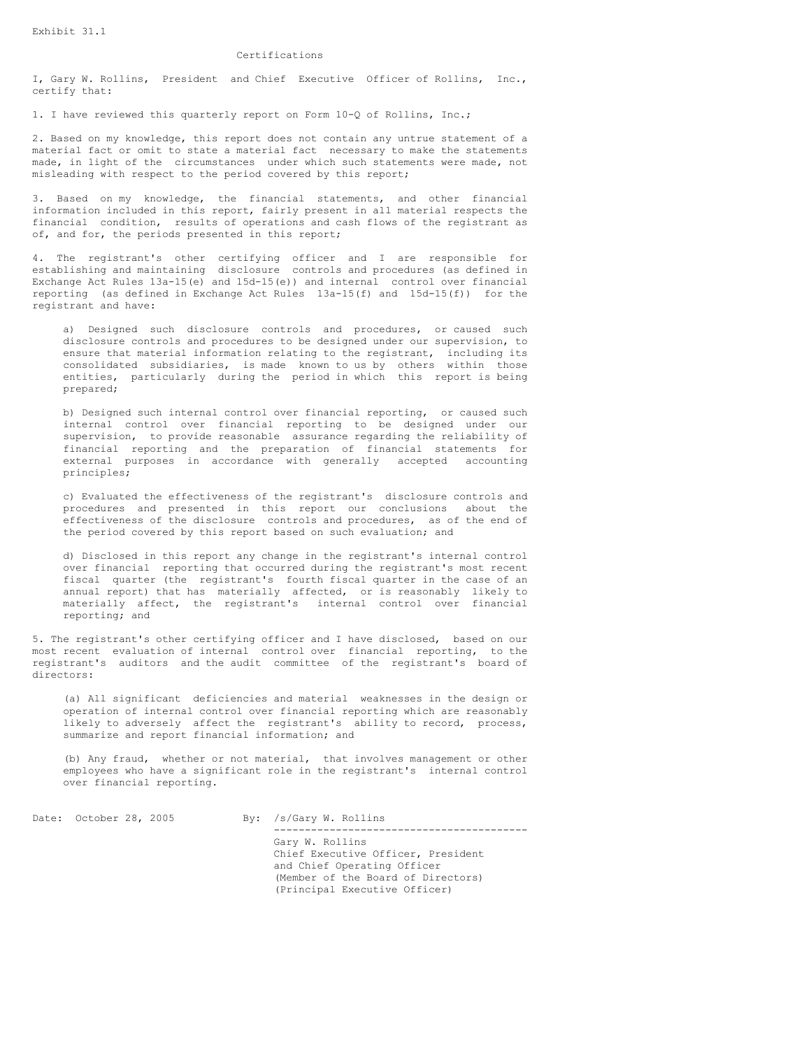## Certifications

I, Gary W. Rollins, President and Chief Executive Officer of Rollins, Inc., certify that:

1. I have reviewed this quarterly report on Form 10-Q of Rollins, Inc.;

2. Based on my knowledge, this report does not contain any untrue statement of a material fact or omit to state a material fact necessary to make the statements made, in light of the circumstances under which such statements were made, not misleading with respect to the period covered by this report;

3. Based on my knowledge, the financial statements, and other financial information included in this report, fairly present in all material respects the financial condition, results of operations and cash flows of the registrant as of, and for, the periods presented in this report;

4. The registrant's other certifying officer and I are responsible for establishing and maintaining disclosure controls and procedures (as defined in Exchange Act Rules 13a-15(e) and 15d-15(e)) and internal control over financial reporting (as defined in Exchange Act Rules 13a-15(f) and 15d-15(f)) for the registrant and have:

a) Designed such disclosure controls and procedures, or caused such disclosure controls and procedures to be designed under our supervision, to ensure that material information relating to the registrant, including its consolidated subsidiaries, is made known to us by others within those entities, particularly during the period in which this report is being prepared;

b) Designed such internal control over financial reporting, or caused such internal control over financial reporting to be designed under our supervision, to provide reasonable assurance regarding the reliability of financial reporting and the preparation of financial statements for external purposes in accordance with generally accepted accounting principles;

c) Evaluated the effectiveness of the registrant's disclosure controls and procedures and presented in this report our conclusions about the effectiveness of the disclosure controls and procedures, as of the end of the period covered by this report based on such evaluation; and

d) Disclosed in this report any change in the registrant's internal control over financial reporting that occurred during the registrant's most recent fiscal quarter (the registrant's fourth fiscal quarter in the case of an annual report) that has materially affected, or is reasonably likely to materially affect, the registrant's internal control over financial reporting; and

5. The registrant's other certifying officer and I have disclosed, based on our most recent evaluation of internal control over financial reporting, to the registrant's auditors and the audit committee of the registrant's board of directors:

(a) All significant deficiencies and material weaknesses in the design or operation of internal control over financial reporting which are reasonably likely to adversely affect the registrant's ability to record, process, summarize and report financial information; and

(b) Any fraud, whether or not material, that involves management or other employees who have a significant role in the registrant's internal control over financial reporting.

Date: October 28, 2005 By: /s/Gary W. Rollins ----------------------------------------- Gary W. Rollins Chief Executive Officer, President and Chief Operating Officer (Member of the Board of Directors) (Principal Executive Officer)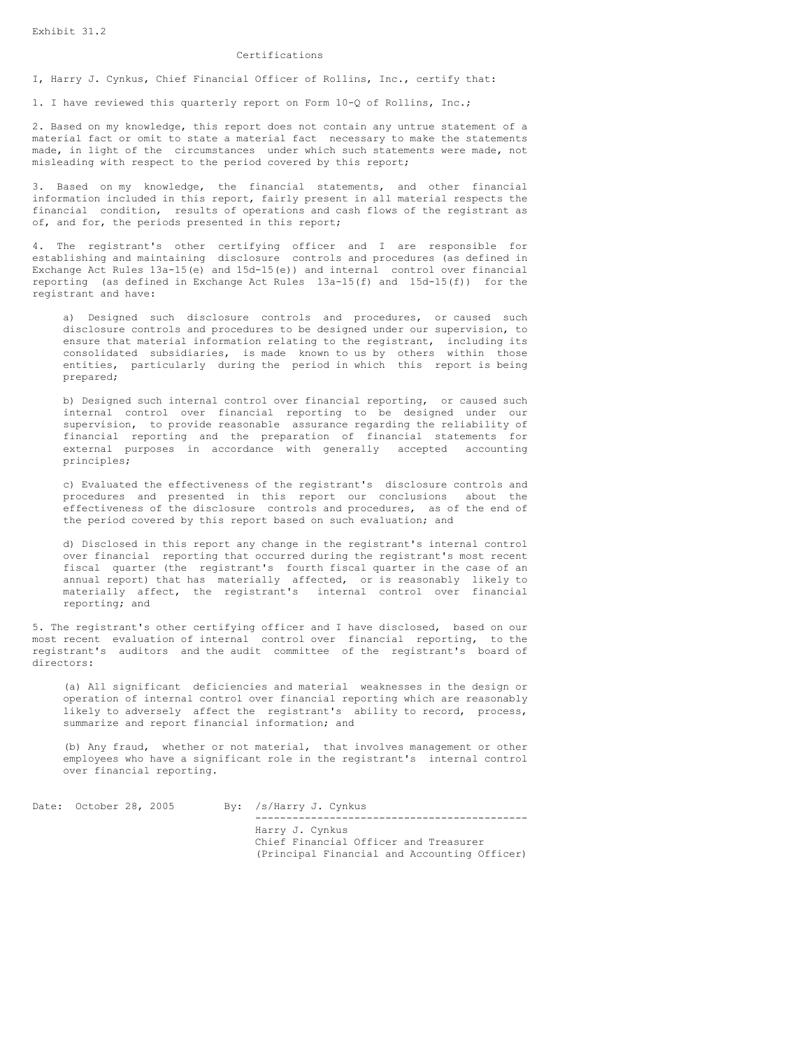## Certifications

I, Harry J. Cynkus, Chief Financial Officer of Rollins, Inc., certify that:

1. I have reviewed this quarterly report on Form 10-Q of Rollins, Inc.;

2. Based on my knowledge, this report does not contain any untrue statement of a material fact or omit to state a material fact necessary to make the statements made, in light of the circumstances under which such statements were made, not misleading with respect to the period covered by this report;

3. Based on my knowledge, the financial statements, and other financial information included in this report, fairly present in all material respects the financial condition, results of operations and cash flows of the registrant as of, and for, the periods presented in this report;

4. The registrant's other certifying officer and I are responsible for establishing and maintaining disclosure controls and procedures (as defined in Exchange Act Rules  $13a-15(e)$  and  $15d-15(e)$ ) and internal control over financial reporting (as defined in Exchange Act Rules 13a-15(f) and 15d-15(f)) for the registrant and have:

a) Designed such disclosure controls and procedures, or caused such disclosure controls and procedures to be designed under our supervision, to ensure that material information relating to the registrant, including its consolidated subsidiaries, is made known to us by others within those entities, particularly during the period in which this report is being prepared;

b) Designed such internal control over financial reporting, or caused such internal control over financial reporting to be designed under our supervision, to provide reasonable assurance regarding the reliability of financial reporting and the preparation of financial statements for external purposes in accordance with generally accepted accounting principles;

c) Evaluated the effectiveness of the registrant's disclosure controls and procedures and presented in this report our conclusions about the effectiveness of the disclosure controls and procedures, as of the end of the period covered by this report based on such evaluation; and

d) Disclosed in this report any change in the registrant's internal control over financial reporting that occurred during the registrant's most recent fiscal quarter (the registrant's fourth fiscal quarter in the case of an annual report) that has materially affected, or is reasonably likely to materially affect, the registrant's internal control over financial reporting; and

5. The registrant's other certifying officer and I have disclosed, based on our most recent evaluation of internal control over financial reporting, to the registrant's auditors and the audit committee of the registrant's board of directors:

(a) All significant deficiencies and material weaknesses in the design or operation of internal control over financial reporting which are reasonably likely to adversely affect the registrant's ability to record, process, summarize and report financial information; and

(b) Any fraud, whether or not material, that involves management or other employees who have a significant role in the registrant's internal control over financial reporting.

Date: October 28, 2005 By: /s/Harry J. Cynkus

-------------------------------------------- Harry J. Cynkus Chief Financial Officer and Treasurer (Principal Financial and Accounting Officer)